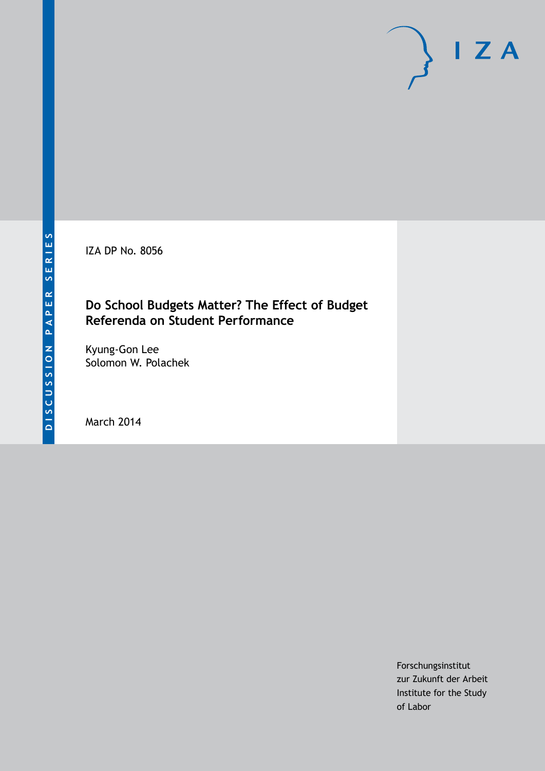IZA DP No. 8056

## **Do School Budgets Matter? The Effect of Budget Referenda on Student Performance**

Kyung-Gon Lee Solomon W. Polachek

March 2014

Forschungsinstitut zur Zukunft der Arbeit Institute for the Study of Labor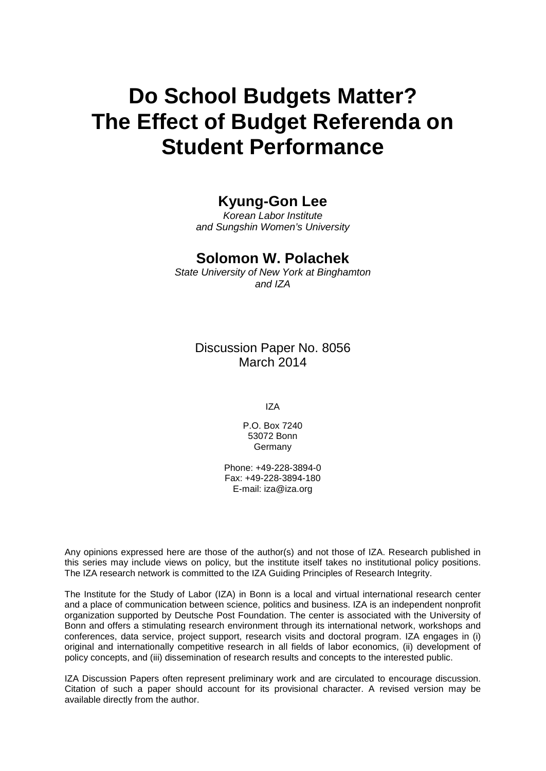# **Do School Budgets Matter? The Effect of Budget Referenda on Student Performance**

# **Kyung-Gon Lee**

*Korean Labor Institute and Sungshin Women's University*

## **Solomon W. Polachek**

*State University of New York at Binghamton and IZA*

Discussion Paper No. 8056 March 2014

IZA

P.O. Box 7240 53072 Bonn Germany

Phone: +49-228-3894-0 Fax: +49-228-3894-180 E-mail: [iza@iza.org](mailto:iza@iza.org)

Any opinions expressed here are those of the author(s) and not those of IZA. Research published in this series may include views on policy, but the institute itself takes no institutional policy positions. The IZA research network is committed to the IZA Guiding Principles of Research Integrity.

The Institute for the Study of Labor (IZA) in Bonn is a local and virtual international research center and a place of communication between science, politics and business. IZA is an independent nonprofit organization supported by Deutsche Post Foundation. The center is associated with the University of Bonn and offers a stimulating research environment through its international network, workshops and conferences, data service, project support, research visits and doctoral program. IZA engages in (i) original and internationally competitive research in all fields of labor economics, (ii) development of policy concepts, and (iii) dissemination of research results and concepts to the interested public.

<span id="page-1-0"></span>IZA Discussion Papers often represent preliminary work and are circulated to encourage discussion. Citation of such a paper should account for its provisional character. A revised version may be available directly from the author.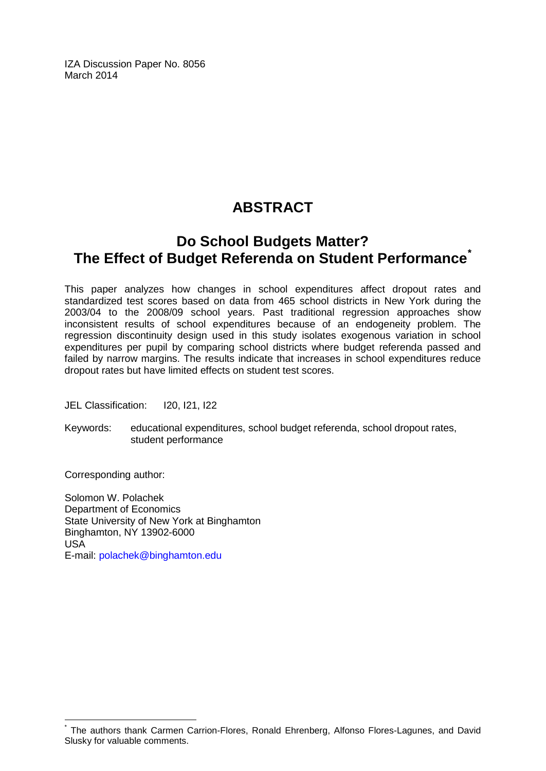IZA Discussion Paper No. 8056 March 2014

# **ABSTRACT**

# **Do School Budgets Matter? The Effect of Budget Referenda on Student Performance[\\*](#page-1-0)**

This paper analyzes how changes in school expenditures affect dropout rates and standardized test scores based on data from 465 school districts in New York during the 2003/04 to the 2008/09 school years. Past traditional regression approaches show inconsistent results of school expenditures because of an endogeneity problem. The regression discontinuity design used in this study isolates exogenous variation in school expenditures per pupil by comparing school districts where budget referenda passed and failed by narrow margins. The results indicate that increases in school expenditures reduce dropout rates but have limited effects on student test scores.

JEL Classification: I20, I21, I22

Keywords: educational expenditures, school budget referenda, school dropout rates, student performance

Corresponding author:

Solomon W. Polachek Department of Economics State University of New York at Binghamton Binghamton, NY 13902-6000 USA E-mail: [polachek@binghamton.edu](mailto:polachek@binghamton.edu)

The authors thank Carmen Carrion-Flores, Ronald Ehrenberg, Alfonso Flores-Lagunes, and David Slusky for valuable comments.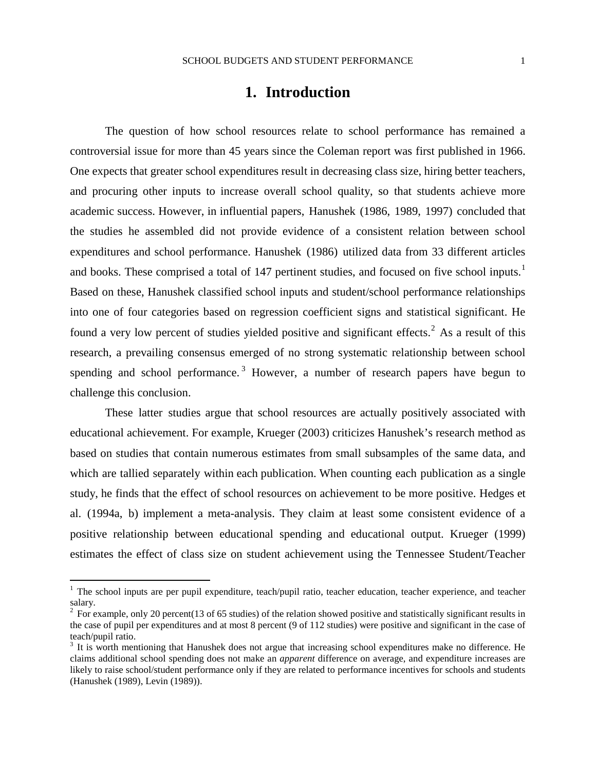## **1. Introduction**

The question of how school resources relate to school performance has remained a controversial issue for more than 45 years since the Coleman report was first published in 1966. One expects that greater school expenditures result in decreasing class size, hiring better teachers, and procuring other inputs to increase overall school quality, so that students achieve more academic success. However, in influential papers, Hanushek (1986, 1989, 1997) concluded that the studies he assembled did not provide evidence of a consistent relation between school expenditures and school performance. Hanushek (1986) utilized data from 33 different articles and books. These comprised a total of 147 pertinent studies, and focused on five school inputs.<sup>1</sup> Based on these, Hanushek classified school inputs and student/school performance relationships into one of four categories based on regression coefficient signs and statistical significant. He found a very low percent of studies yielded positive and significant effects.<sup>[2](#page-3-0)</sup> As a result of this research, a prevailing consensus emerged of no strong systematic relationship between school spending and school performance.<sup>[3](#page-3-1)</sup> However, a number of research papers have begun to challenge this conclusion.

These latter studies argue that school resources are actually positively associated with educational achievement. For example, Krueger (2003) criticizes Hanushek's research method as based on studies that contain numerous estimates from small subsamples of the same data, and which are tallied separately within each publication. When counting each publication as a single study, he finds that the effect of school resources on achievement to be more positive. Hedges et al. (1994a, b) implement a meta-analysis. They claim at least some consistent evidence of a positive relationship between educational spending and educational output. Krueger (1999) estimates the effect of class size on student achievement using the Tennessee Student/Teacher

<sup>&</sup>lt;sup>1</sup> The school inputs are per pupil expenditure, teach/pupil ratio, teacher education, teacher experience, and teacher salary.

<span id="page-3-0"></span> $2\degree$  For example, only 20 percent(13 of 65 studies) of the relation showed positive and statistically significant results in the case of pupil per expenditures and at most 8 percent (9 of 112 studies) were positive and significant in the case of teach/pupil ratio.

<span id="page-3-1"></span> $3$  It is worth mentioning that Hanushek does not argue that increasing school expenditures make no difference. He claims additional school spending does not make an *apparent* difference on average, and expenditure increases are likely to raise school/student performance only if they are related to performance incentives for schools and students (Hanushek (1989), Levin (1989)).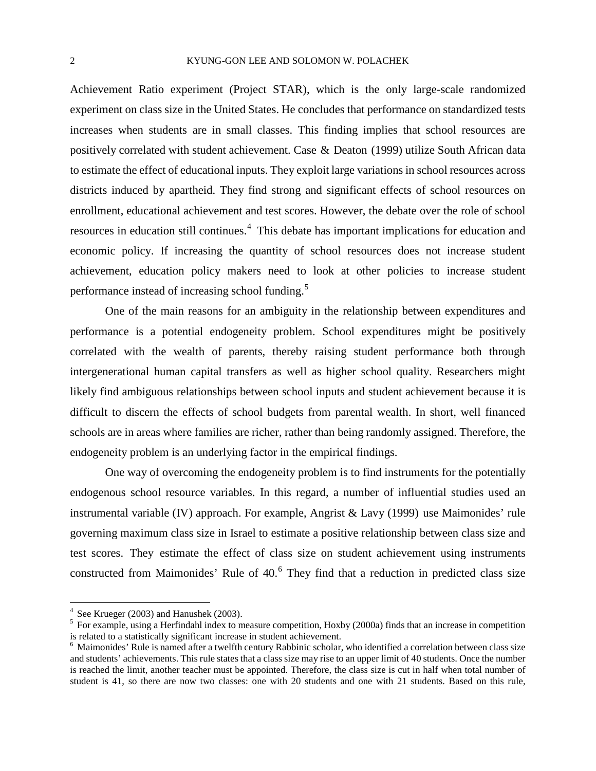Achievement Ratio experiment (Project STAR), which is the only large-scale randomized experiment on class size in the United States. He concludes that performance on standardized tests increases when students are in small classes. This finding implies that school resources are positively correlated with student achievement. Case & Deaton (1999) utilize South African data to estimate the effect of educational inputs. They exploit large variations in school resources across districts induced by apartheid. They find strong and significant effects of school resources on enrollment, educational achievement and test scores. However, the debate over the role of school resources in education still continues.<sup>[4](#page-3-0)</sup> This debate has important implications for education and economic policy. If increasing the quantity of school resources does not increase student achievement, education policy makers need to look at other policies to increase student performance instead of increasing school funding.<sup>[5](#page-4-0)</sup>

One of the main reasons for an ambiguity in the relationship between expenditures and performance is a potential endogeneity problem. School expenditures might be positively correlated with the wealth of parents, thereby raising student performance both through intergenerational human capital transfers as well as higher school quality. Researchers might likely find ambiguous relationships between school inputs and student achievement because it is difficult to discern the effects of school budgets from parental wealth. In short, well financed schools are in areas where families are richer, rather than being randomly assigned. Therefore, the endogeneity problem is an underlying factor in the empirical findings.

One way of overcoming the endogeneity problem is to find instruments for the potentially endogenous school resource variables. In this regard, a number of influential studies used an instrumental variable (IV) approach. For example, Angrist  $&$  Lavy (1999) use Maimonides' rule governing maximum class size in Israel to estimate a positive relationship between class size and test scores. They estimate the effect of class size on student achievement using instruments constructed from Maimonides' Rule of 40.<sup>[6](#page-4-1)</sup> They find that a reduction in predicted class size

<span id="page-4-0"></span><sup>&</sup>lt;sup>4</sup> See Krueger (2003) and Hanushek (2003).<br><sup>5</sup> For example, using a Herfindahl index to measure competition, Hoxby (2000a) finds that an increase in competition is related to a statistically significant increase in student achievement.

<span id="page-4-1"></span> $<sup>6</sup>$  Maimonides' Rule is named after a twelfth century Rabbinic scholar, who identified a correlation between class size</sup> and students' achievements. This rule states that a class size may rise to an upper limit of 40 students. Once the number is reached the limit, another teacher must be appointed. Therefore, the class size is cut in half when total number of student is 41, so there are now two classes: one with 20 students and one with 21 students. Based on this rule,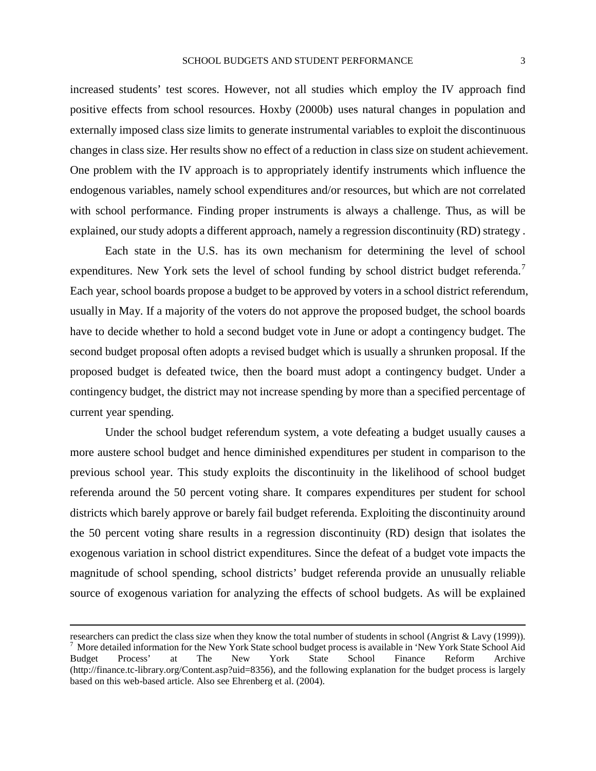increased students' test scores. However, not all studies which employ the IV approach find positive effects from school resources. Hoxby (2000b) uses natural changes in population and externally imposed class size limits to generate instrumental variables to exploit the discontinuous changes in class size. Her results show no effect of a reduction in class size on student achievement. One problem with the IV approach is to appropriately identify instruments which influence the endogenous variables, namely school expenditures and/or resources, but which are not correlated with school performance. Finding proper instruments is always a challenge. Thus, as will be explained, our study adopts a different approach, namely a regression discontinuity (RD) strategy .

Each state in the U.S. has its own mechanism for determining the level of school expenditures. New York sets the level of school funding by school district budget referenda.<sup>[7](#page-4-1)</sup> Each year, school boards propose a budget to be approved by voters in a school district referendum, usually in May. If a majority of the voters do not approve the proposed budget, the school boards have to decide whether to hold a second budget vote in June or adopt a contingency budget. The second budget proposal often adopts a revised budget which is usually a shrunken proposal. If the proposed budget is defeated twice, then the board must adopt a contingency budget. Under a contingency budget, the district may not increase spending by more than a specified percentage of current year spending.

Under the school budget referendum system, a vote defeating a budget usually causes a more austere school budget and hence diminished expenditures per student in comparison to the previous school year. This study exploits the discontinuity in the likelihood of school budget referenda around the 50 percent voting share. It compares expenditures per student for school districts which barely approve or barely fail budget referenda. Exploiting the discontinuity around the 50 percent voting share results in a regression discontinuity (RD) design that isolates the exogenous variation in school district expenditures. Since the defeat of a budget vote impacts the magnitude of school spending, school districts' budget referenda provide an unusually reliable source of exogenous variation for analyzing the effects of school budgets. As will be explained

 $\overline{a}$ 

<span id="page-5-0"></span>researchers can predict the class size when they know the total number of students in school (Angrist & Lavy (1999)).<br>
<sup>7</sup> More detailed information for the New York State school budget process is available in 'New York St Budget Process' at The New York State School Finance Reform Archive (http://finance.tc-library.org/Content.asp?uid=8356), and the following explanation for the budget process is largely based on this web-based article. Also see Ehrenberg et al. (2004).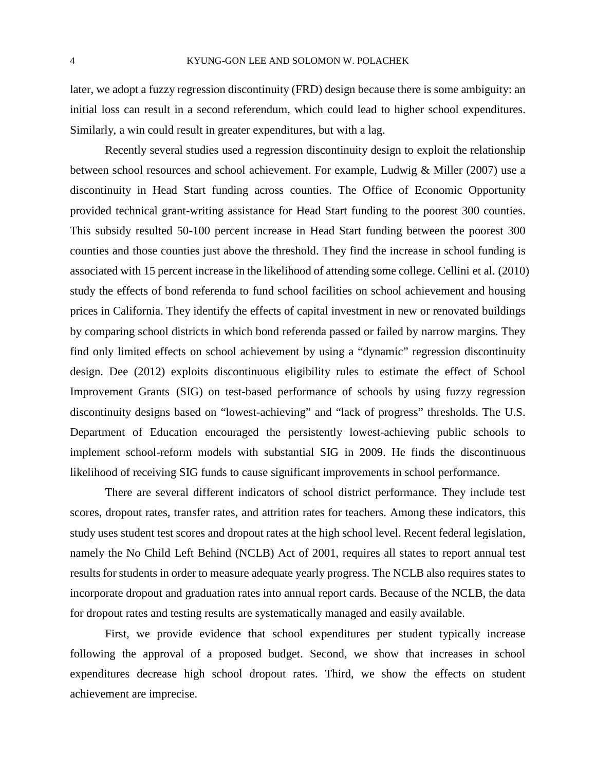later, we adopt a fuzzy regression discontinuity (FRD) design because there is some ambiguity: an initial loss can result in a second referendum, which could lead to higher school expenditures. Similarly, a win could result in greater expenditures, but with a lag.

Recently several studies used a regression discontinuity design to exploit the relationship between school resources and school achievement. For example, Ludwig & Miller (2007) use a discontinuity in Head Start funding across counties. The Office of Economic Opportunity provided technical grant-writing assistance for Head Start funding to the poorest 300 counties. This subsidy resulted 50-100 percent increase in Head Start funding between the poorest 300 counties and those counties just above the threshold. They find the increase in school funding is associated with 15 percent increase in the likelihood of attending some college. Cellini et al. (2010) study the effects of bond referenda to fund school facilities on school achievement and housing prices in California. They identify the effects of capital investment in new or renovated buildings by comparing school districts in which bond referenda passed or failed by narrow margins. They find only limited effects on school achievement by using a "dynamic" regression discontinuity design. Dee (2012) exploits discontinuous eligibility rules to estimate the effect of School Improvement Grants (SIG) on test-based performance of schools by using fuzzy regression discontinuity designs based on "lowest-achieving" and "lack of progress" thresholds. The U.S. Department of Education encouraged the persistently lowest-achieving public schools to implement school-reform models with substantial SIG in 2009. He finds the discontinuous likelihood of receiving SIG funds to cause significant improvements in school performance.

There are several different indicators of school district performance. They include test scores, dropout rates, transfer rates, and attrition rates for teachers. Among these indicators, this study uses student test scores and dropout rates at the high school level. Recent federal legislation, namely the No Child Left Behind (NCLB) Act of 2001, requires all states to report annual test results for students in order to measure adequate yearly progress. The NCLB also requires states to incorporate dropout and graduation rates into annual report cards. Because of the NCLB, the data for dropout rates and testing results are systematically managed and easily available.

First, we provide evidence that school expenditures per student typically increase following the approval of a proposed budget. Second, we show that increases in school expenditures decrease high school dropout rates. Third, we show the effects on student achievement are imprecise.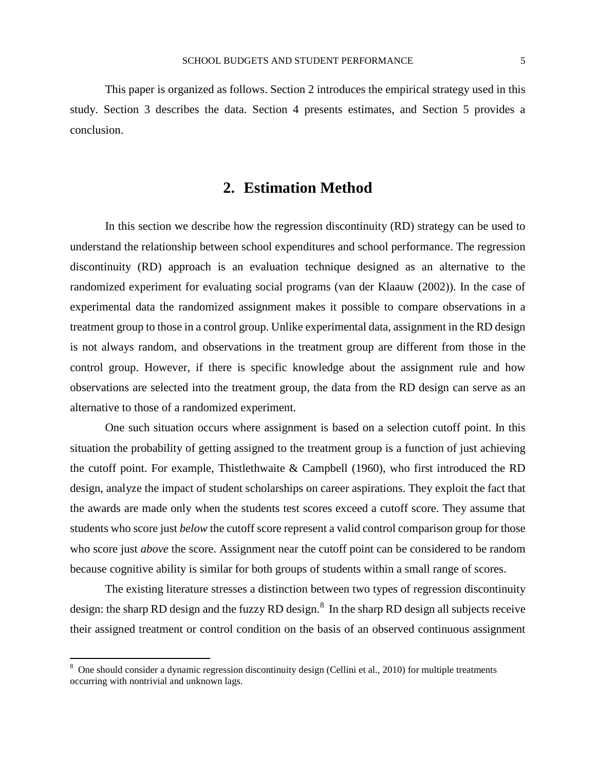This paper is organized as follows. Section 2 introduces the empirical strategy used in this study. Section 3 describes the data. Section 4 presents estimates, and Section 5 provides a conclusion.

## **2. Estimation Method**

In this section we describe how the regression discontinuity (RD) strategy can be used to understand the relationship between school expenditures and school performance. The regression discontinuity (RD) approach is an evaluation technique designed as an alternative to the randomized experiment for evaluating social programs (van der Klaauw (2002)). In the case of experimental data the randomized assignment makes it possible to compare observations in a treatment group to those in a control group. Unlike experimental data, assignment in the RD design is not always random, and observations in the treatment group are different from those in the control group. However, if there is specific knowledge about the assignment rule and how observations are selected into the treatment group, the data from the RD design can serve as an alternative to those of a randomized experiment.

One such situation occurs where assignment is based on a selection cutoff point. In this situation the probability of getting assigned to the treatment group is a function of just achieving the cutoff point. For example, Thistlethwaite & Campbell (1960), who first introduced the RD design, analyze the impact of student scholarships on career aspirations. They exploit the fact that the awards are made only when the students test scores exceed a cutoff score. They assume that students who score just *below* the cutoff score represent a valid control comparison group for those who score just *above* the score. Assignment near the cutoff point can be considered to be random because cognitive ability is similar for both groups of students within a small range of scores.

The existing literature stresses a distinction between two types of regression discontinuity design: the sharp RD design and the fuzzy RD design. $8\,$  $8\,$  In the sharp RD design all subjects receive their assigned treatment or control condition on the basis of an observed continuous assignment

<span id="page-7-0"></span> $8$  One should consider a dynamic regression discontinuity design (Cellini et al., 2010) for multiple treatments occurring with nontrivial and unknown lags.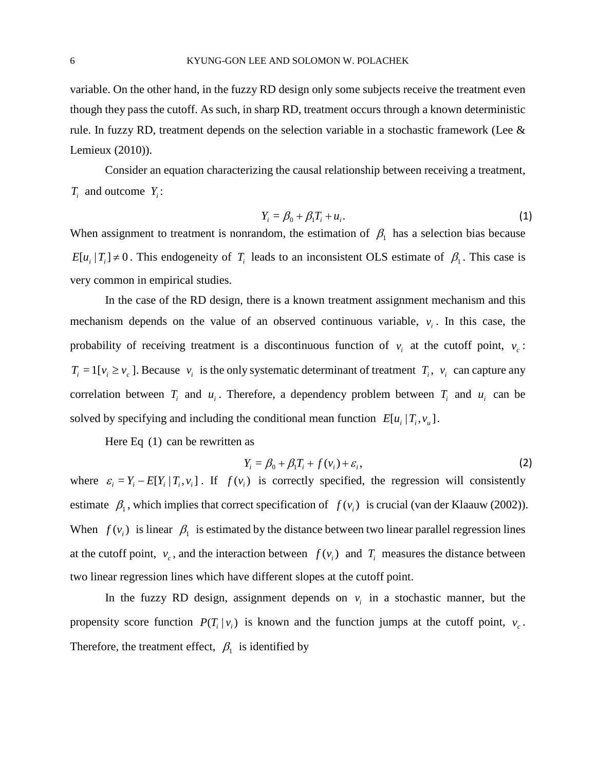variable. On the other hand, in the fuzzy RD design only some subjects receive the treatment even though they pass the cutoff. As such, in sharp RD, treatment occurs through a known deterministic rule. In fuzzy RD, treatment depends on the selection variable in a stochastic framework (Lee  $\&$ Lemieux (2010)).

Consider an equation characterizing the causal relationship between receiving a treatment, *Ti* and outcome *Yi* :

$$
Y_i = \beta_0 + \beta_1 T_i + u_i. \tag{1}
$$

When assignment to treatment is nonrandom, the estimation of  $\beta_1$  has a selection bias because  $E[u_i | T_i] \neq 0$ . This endogeneity of  $T_i$  leads to an inconsistent OLS estimate of  $\beta_1$ . This case is very common in empirical studies.

In the case of the RD design, there is a known treatment assignment mechanism and this mechanism depends on the value of an observed continuous variable,  $v_i$ . In this case, the probability of receiving treatment is a discontinuous function of  $v_i$  at the cutoff point,  $v_c$ :  $T_i = 1[v_i \ge v_c]$ . Because  $v_i$  is the only systematic determinant of treatment  $T_i$ ,  $v_i$  can capture any correlation between  $T_i$  and  $u_i$ . Therefore, a dependency problem between  $T_i$  and  $u_i$  can be solved by specifying and including the conditional mean function  $E [ u_i | T_i, v_u ]$ .

Here Eq (1) can be rewritten as

$$
Y_i = \beta_0 + \beta_1 T_i + f(v_i) + \varepsilon_i,
$$
\n(2)

where  $\varepsilon_i = Y_i - E[Y_i | T_i, v_i]$ . If  $f(v_i)$  is correctly specified, the regression will consistently estimate  $\beta_1$ , which implies that correct specification of  $f(v_i)$  is crucial (van der Klaauw (2002)). When  $f(v_i)$  is linear  $\beta_1$  is estimated by the distance between two linear parallel regression lines at the cutoff point,  $v_c$ , and the interaction between  $f(v_i)$  and  $T_i$  measures the distance between two linear regression lines which have different slopes at the cutoff point.

In the fuzzy RD design, assignment depends on  $v_i$  in a stochastic manner, but the propensity score function  $P(T_i | v_i)$  is known and the function jumps at the cutoff point,  $v_c$ . Therefore, the treatment effect,  $\beta_1$  is identified by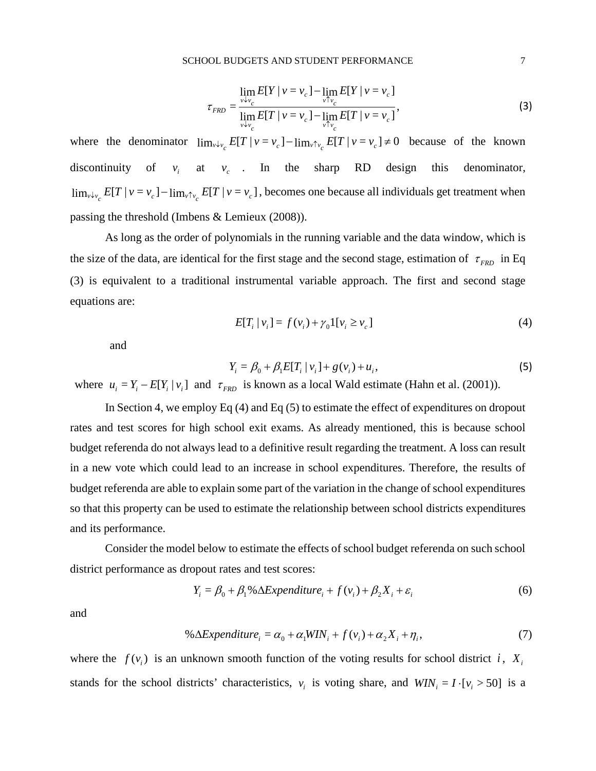$$
\tau_{FRD} = \frac{\lim_{v \to v_c} E[Y \mid v = v_c] - \lim_{v \to v_c} E[Y \mid v = v_c]}{\lim_{v \to v_c} E[T \mid v = v_c] - \lim_{v \to v_c} E[T \mid v = v_c]},
$$
\n(3)

where the denominator  $\lim_{v \downarrow v_c} E[T \mid v = v_c] - \lim_{v \uparrow v_c} E[T \mid v = v_c] \neq 0$  because of the known discontinuity of  $v_i$  at  $v_c$ . In the sharp RD design this denominator,  $\lim_{v\downarrow v_c} E[T|v = v_c] - \lim_{v\uparrow v_c} E[T|v = v_c]$ , becomes one because all individuals get treatment when passing the threshold (Imbens & Lemieux (2008)).

As long as the order of polynomials in the running variable and the data window, which is the size of the data, are identical for the first stage and the second stage, estimation of  $\tau_{FRD}$  in Eq (3) is equivalent to a traditional instrumental variable approach. The first and second stage equations are:

$$
E[T_i | v_i] = f(v_i) + \gamma_0 I[v_i \ge v_c]
$$
\n
$$
(4)
$$

and

$$
Y_i = \beta_0 + \beta_1 E[T_i | v_i] + g(v_i) + u_i,
$$
\n(5)

where  $u_i = Y_i - E[Y_i | v_i]$  and  $\tau_{FRD}$  is known as a local Wald estimate (Hahn et al. (2001)).

In Section 4, we employ Eq (4) and Eq (5) to estimate the effect of expenditures on dropout rates and test scores for high school exit exams. As already mentioned, this is because school budget referenda do not always lead to a definitive result regarding the treatment. A loss can result in a new vote which could lead to an increase in school expenditures. Therefore, the results of budget referenda are able to explain some part of the variation in the change of school expenditures so that this property can be used to estimate the relationship between school districts expenditures and its performance.

Consider the model below to estimate the effects of school budget referenda on such school district performance as dropout rates and test scores:

$$
Y_i = \beta_0 + \beta_1 \% \Delta Expenditure_i + f(v_i) + \beta_2 X_i + \varepsilon_i
$$
 (6)

and

$$
\% \Delta Expenditure_i = \alpha_0 + \alpha_1 WIN_i + f(v_i) + \alpha_2 X_i + \eta_i,\tag{7}
$$

where the  $f(v_i)$  is an unknown smooth function of the voting results for school district *i*,  $X_i$ stands for the school districts' characteristics,  $v_i$  is voting share, and  $WIN_i = I \cdot [v_i > 50]$  is a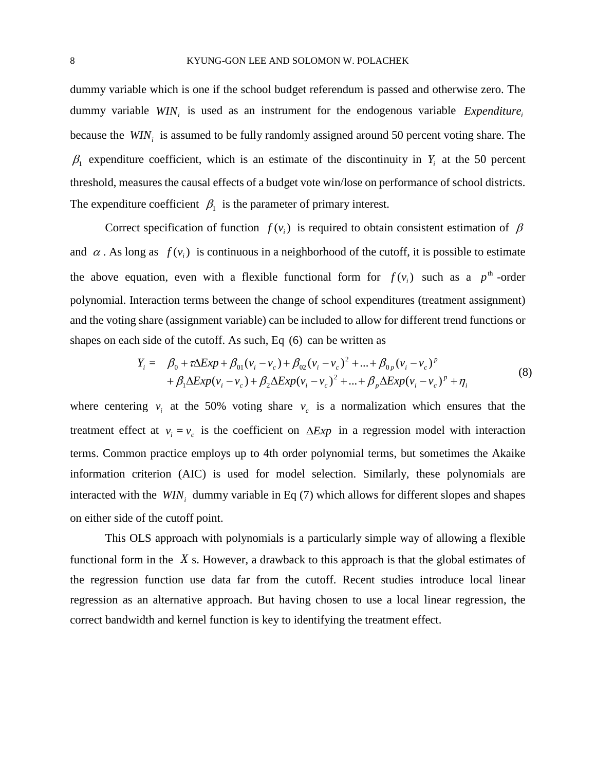dummy variable which is one if the school budget referendum is passed and otherwise zero. The dummy variable *WIN<sub>i</sub>* is used as an instrument for the endogenous variable *Expenditure*<sub>i</sub> because the *WIN<sub>i</sub>* is assumed to be fully randomly assigned around 50 percent voting share. The  $\beta_1$  expenditure coefficient, which is an estimate of the discontinuity in  $Y_i$  at the 50 percent threshold, measures the causal effects of a budget vote win/lose on performance of school districts. The expenditure coefficient  $\beta_1$  is the parameter of primary interest.

Correct specification of function  $f(v_i)$  is required to obtain consistent estimation of  $\beta$ and  $\alpha$ . As long as  $f(v_i)$  is continuous in a neighborhood of the cutoff, it is possible to estimate the above equation, even with a flexible functional form for  $f(v_i)$  such as a  $p^{\text{th}}$ -order polynomial. Interaction terms between the change of school expenditures (treatment assignment) and the voting share (assignment variable) can be included to allow for different trend functions or shapes on each side of the cutoff. As such, Eq (6) can be written as

$$
Y_{i} = \beta_{0} + \tau \Delta Exp + \beta_{01} (v_{i} - v_{c}) + \beta_{02} (v_{i} - v_{c})^{2} + ... + \beta_{0p} (v_{i} - v_{c})^{p}
$$
  
+  $\beta_{1} \Delta Exp (v_{i} - v_{c}) + \beta_{2} \Delta Exp (v_{i} - v_{c})^{2} + ... + \beta_{p} \Delta Exp (v_{i} - v_{c})^{p} + \eta_{i}$  (8)

where centering  $v_i$  at the 50% voting share  $v_c$  is a normalization which ensures that the treatment effect at  $v_i = v_c$  is the coefficient on  $\Delta Exp$  in a regression model with interaction terms. Common practice employs up to 4th order polynomial terms, but sometimes the Akaike information criterion (AIC) is used for model selection. Similarly, these polynomials are interacted with the  $WIN_i$  dummy variable in Eq (7) which allows for different slopes and shapes on either side of the cutoff point.

This OLS approach with polynomials is a particularly simple way of allowing a flexible functional form in the *X* s. However, a drawback to this approach is that the global estimates of the regression function use data far from the cutoff. Recent studies introduce local linear regression as an alternative approach. But having chosen to use a local linear regression, the correct bandwidth and kernel function is key to identifying the treatment effect.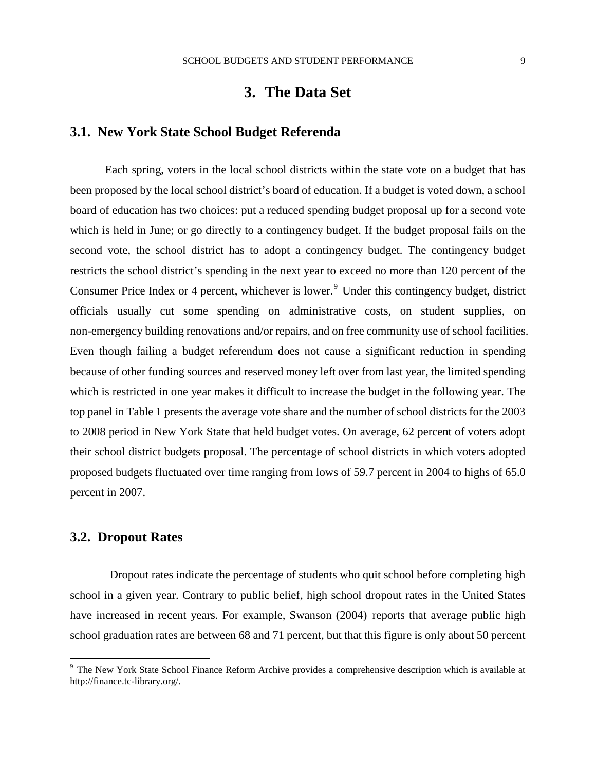## **3. The Data Set**

#### **3.1. New York State School Budget Referenda**

Each spring, voters in the local school districts within the state vote on a budget that has been proposed by the local school district's board of education. If a budget is voted down, a school board of education has two choices: put a reduced spending budget proposal up for a second vote which is held in June; or go directly to a contingency budget. If the budget proposal fails on the second vote, the school district has to adopt a contingency budget. The contingency budget restricts the school district's spending in the next year to exceed no more than 120 percent of the Consumer Price Index or 4 percent, whichever is lower.<sup>[9](#page-7-0)</sup> Under this contingency budget, district officials usually cut some spending on administrative costs, on student supplies, on non-emergency building renovations and/or repairs, and on free community use of school facilities. Even though failing a budget referendum does not cause a significant reduction in spending because of other funding sources and reserved money left over from last year, the limited spending which is restricted in one year makes it difficult to increase the budget in the following year. The top panel in Table 1 presents the average vote share and the number of school districts for the 2003 to 2008 period in New York State that held budget votes. On average, 62 percent of voters adopt their school district budgets proposal. The percentage of school districts in which voters adopted proposed budgets fluctuated over time ranging from lows of 59.7 percent in 2004 to highs of 65.0 percent in 2007.

### **3.2. Dropout Rates**

Dropout rates indicate the percentage of students who quit school before completing high school in a given year. Contrary to public belief, high school dropout rates in the United States have increased in recent years. For example, Swanson (2004) reports that average public high school graduation rates are between 68 and 71 percent, but that this figure is only about 50 percent

<span id="page-11-0"></span><sup>&</sup>lt;sup>9</sup> The New York State School Finance Reform Archive provides a comprehensive description which is available at http://finance.tc-library.org/.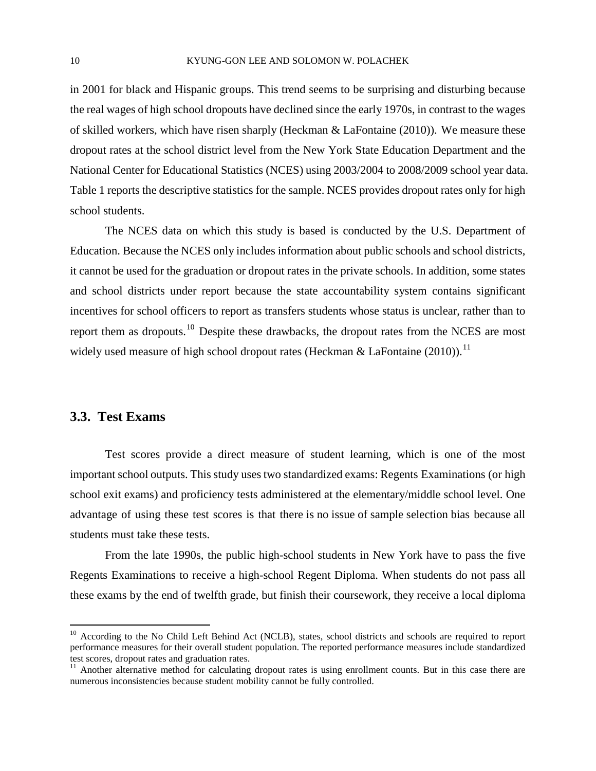in 2001 for black and Hispanic groups. This trend seems to be surprising and disturbing because the real wages of high school dropouts have declined since the early 1970s, in contrast to the wages of skilled workers, which have risen sharply (Heckman & LaFontaine (2010)). We measure these dropout rates at the school district level from the New York State Education Department and the National Center for Educational Statistics (NCES) using 2003/2004 to 2008/2009 school year data. Table 1 reports the descriptive statistics for the sample. NCES provides dropout rates only for high school students.

The NCES data on which this study is based is conducted by the U.S. Department of Education. Because the NCES only includes information about public schools and school districts, it cannot be used for the graduation or dropout rates in the private schools. In addition, some states and school districts under report because the state accountability system contains significant incentives for school officers to report as transfers students whose status is unclear, rather than to report them as dropouts.[10](#page-11-0) Despite these drawbacks, the dropout rates from the NCES are most widely used measure of high school dropout rates (Heckman & LaFontaine  $(2010)$ ).<sup>[11](#page-12-0)</sup>

### **3.3. Test Exams**

Test scores provide a direct measure of student learning, which is one of the most important school outputs. This study uses two standardized exams: Regents Examinations (or high school exit exams) and proficiency tests administered at the elementary/middle school level. One advantage of using these test scores is that there is no issue of sample selection bias because all students must take these tests.

From the late 1990s, the public high-school students in New York have to pass the five Regents Examinations to receive a high-school Regent Diploma. When students do not pass all these exams by the end of twelfth grade, but finish their coursework, they receive a local diploma

<span id="page-12-1"></span><sup>&</sup>lt;sup>10</sup> According to the No Child Left Behind Act (NCLB), states, school districts and schools are required to report performance measures for their overall student population. The reported performance measures include standardized test scores, dropout rates and graduation rates.

<span id="page-12-0"></span> $11$  Another alternative method for calculating dropout rates is using enrollment counts. But in this case there are numerous inconsistencies because student mobility cannot be fully controlled.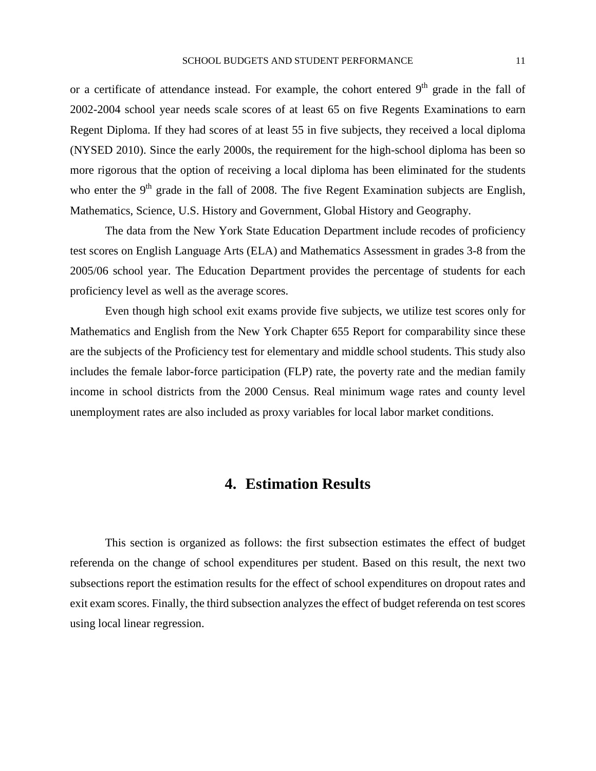or a certificate of attendance instead. For example, the cohort entered  $9<sup>th</sup>$  grade in the fall of 2002-2004 school year needs scale scores of at least 65 on five Regents Examinations to earn Regent Diploma. If they had scores of at least 55 in five subjects, they received a local diploma (NYSED 2010). Since the early 2000s, the requirement for the high-school diploma has been so more rigorous that the option of receiving a local diploma has been eliminated for the students who enter the  $9<sup>th</sup>$  grade in the fall of 2008. The five Regent Examination subjects are English, Mathematics, Science, U.S. History and Government, Global History and Geography.

The data from the New York State Education Department include recodes of proficiency test scores on English Language Arts (ELA) and Mathematics Assessment in grades 3-8 from the 2005/06 school year. The Education Department provides the percentage of students for each proficiency level as well as the average scores.

Even though high school exit exams provide five subjects, we utilize test scores only for Mathematics and English from the New York Chapter 655 Report for comparability since these are the subjects of the Proficiency test for elementary and middle school students. This study also includes the female labor-force participation (FLP) rate, the poverty rate and the median family income in school districts from the 2000 Census. Real minimum wage rates and county level unemployment rates are also included as proxy variables for local labor market conditions.

## **4. Estimation Results**

This section is organized as follows: the first subsection estimates the effect of budget referenda on the change of school expenditures per student. Based on this result, the next two subsections report the estimation results for the effect of school expenditures on dropout rates and exit exam scores. Finally, the third subsection analyzes the effect of budget referenda on test scores using local linear regression.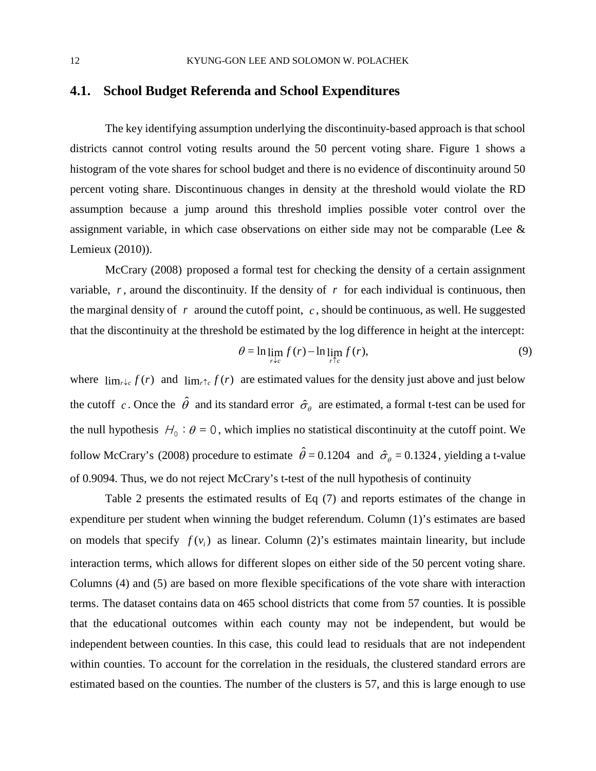## **4.1. School Budget Referenda and School Expenditures**

The key identifying assumption underlying the discontinuity-based approach is that school districts cannot control voting results around the 50 percent voting share. Figure 1 shows a histogram of the vote shares for school budget and there is no evidence of discontinuity around 50 percent voting share. Discontinuous changes in density at the threshold would violate the RD assumption because a jump around this threshold implies possible voter control over the assignment variable, in which case observations on either side may not be comparable (Lee & Lemieux (2010)).

McCrary (2008) proposed a formal test for checking the density of a certain assignment variable,  $r$ , around the discontinuity. If the density of  $r$  for each individual is continuous, then the marginal density of *r* around the cutoff point, *c* , should be continuous, as well. He suggested that the discontinuity at the threshold be estimated by the log difference in height at the intercept:

$$
\theta = \ln \lim_{r \downarrow c} f(r) - \ln \lim_{r \uparrow c} f(r),\tag{9}
$$

where  $\lim_{r \to c} f(r)$  and  $\lim_{r \to c} f(r)$  are estimated values for the density just above and just below the cutoff *c*. Once the  $\hat{\theta}$  and its standard error  $\hat{\sigma}_{\theta}$  are estimated, a formal t-test can be used for the null hypothesis  $H_0$ :  $\theta = 0$ , which implies no statistical discontinuity at the cutoff point. We follow McCrary's (2008) procedure to estimate  $\hat{\theta} = 0.1204$  and  $\hat{\sigma}_e = 0.1324$ , yielding a t-value of 0.9094. Thus, we do not reject McCrary's t-test of the null hypothesis of continuity

Table 2 presents the estimated results of Eq (7) and reports estimates of the change in expenditure per student when winning the budget referendum. Column (1)'s estimates are based on models that specify  $f(v_i)$  as linear. Column (2)'s estimates maintain linearity, but include interaction terms, which allows for different slopes on either side of the 50 percent voting share. Columns (4) and (5) are based on more flexible specifications of the vote share with interaction terms. The dataset contains data on 465 school districts that come from 57 counties. It is possible that the educational outcomes within each county may not be independent, but would be independent between counties. In this case, this could lead to residuals that are not independent within counties. To account for the correlation in the residuals, the clustered standard errors are estimated based on the counties. The number of the clusters is 57, and this is large enough to use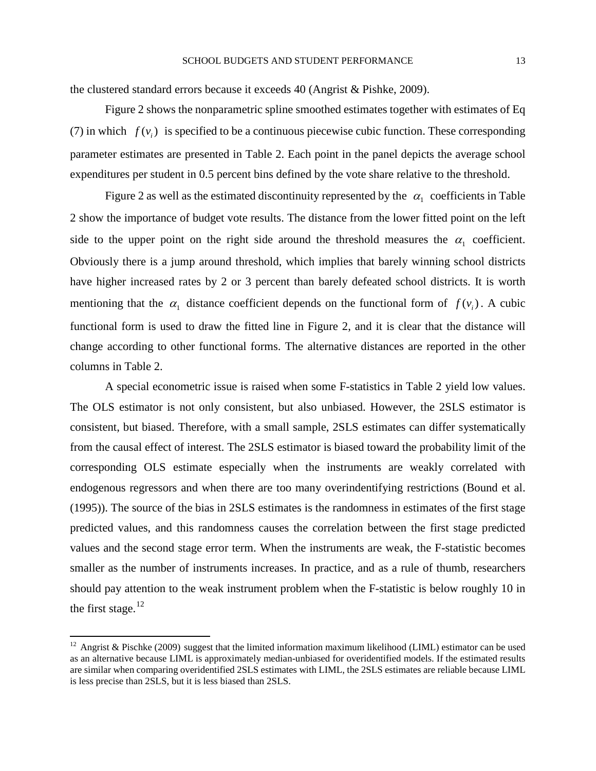the clustered standard errors because it exceeds 40 (Angrist & Pishke, 2009).

Figure 2 shows the nonparametric spline smoothed estimates together with estimates of Eq (7) in which  $f(v_i)$  is specified to be a continuous piecewise cubic function. These corresponding parameter estimates are presented in Table 2. Each point in the panel depicts the average school expenditures per student in 0.5 percent bins defined by the vote share relative to the threshold.

Figure 2 as well as the estimated discontinuity represented by the  $\alpha_1$  coefficients in Table 2 show the importance of budget vote results. The distance from the lower fitted point on the left side to the upper point on the right side around the threshold measures the  $\alpha_1$  coefficient. Obviously there is a jump around threshold, which implies that barely winning school districts have higher increased rates by 2 or 3 percent than barely defeated school districts. It is worth mentioning that the  $\alpha_1$  distance coefficient depends on the functional form of  $f(v_i)$ . A cubic functional form is used to draw the fitted line in Figure 2, and it is clear that the distance will change according to other functional forms. The alternative distances are reported in the other columns in Table 2.

A special econometric issue is raised when some F-statistics in Table 2 yield low values. The OLS estimator is not only consistent, but also unbiased. However, the 2SLS estimator is consistent, but biased. Therefore, with a small sample, 2SLS estimates can differ systematically from the causal effect of interest. The 2SLS estimator is biased toward the probability limit of the corresponding OLS estimate especially when the instruments are weakly correlated with endogenous regressors and when there are too many overindentifying restrictions (Bound et al. (1995)). The source of the bias in 2SLS estimates is the randomness in estimates of the first stage predicted values, and this randomness causes the correlation between the first stage predicted values and the second stage error term. When the instruments are weak, the F-statistic becomes smaller as the number of instruments increases. In practice, and as a rule of thumb, researchers should pay attention to the weak instrument problem when the F-statistic is below roughly 10 in the first stage. $12$ 

<span id="page-15-0"></span><sup>&</sup>lt;sup>12</sup> Angrist & Pischke (2009) suggest that the limited information maximum likelihood (LIML) estimator can be used as an alternative because LIML is approximately median-unbiased for overidentified models. If the estimated results are similar when comparing overidentified 2SLS estimates with LIML, the 2SLS estimates are reliable because LIML is less precise than 2SLS, but it is less biased than 2SLS.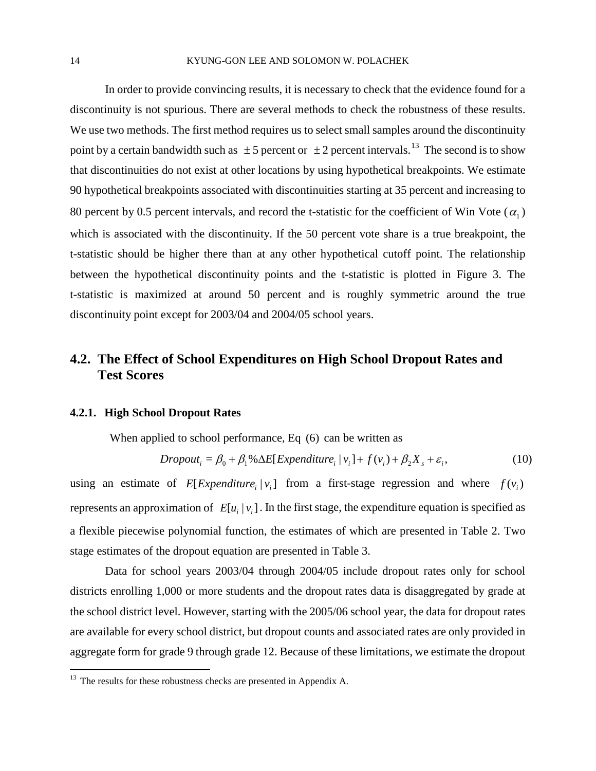In order to provide convincing results, it is necessary to check that the evidence found for a discontinuity is not spurious. There are several methods to check the robustness of these results. We use two methods. The first method requires us to select small samples around the discontinuity point by a certain bandwidth such as  $\pm 5$  percent or  $\pm 2$  percent intervals.<sup>[13](#page-15-0)</sup> The second is to show that discontinuities do not exist at other locations by using hypothetical breakpoints. We estimate 90 hypothetical breakpoints associated with discontinuities starting at 35 percent and increasing to 80 percent by 0.5 percent intervals, and record the t-statistic for the coefficient of Win Vote  $(\alpha_1)$ which is associated with the discontinuity. If the 50 percent vote share is a true breakpoint, the t-statistic should be higher there than at any other hypothetical cutoff point. The relationship between the hypothetical discontinuity points and the t-statistic is plotted in Figure 3. The t-statistic is maximized at around 50 percent and is roughly symmetric around the true discontinuity point except for 2003/04 and 2004/05 school years.

## **4.2. The Effect of School Expenditures on High School Dropout Rates and Test Scores**

#### **4.2.1. High School Dropout Rates**

When applied to school performance, Eq (6) can be written as

$$
Dropout_i = \beta_0 + \beta_1 \% \Delta E[Expenditure_i | v_i] + f(v_i) + \beta_2 X_s + \varepsilon_i,
$$
\n(10)

using an estimate of  $E[Expenditure, |v_i]$  from a first-stage regression and where  $f(v_i)$ represents an approximation of  $E[u_i | v_i]$ . In the first stage, the expenditure equation is specified as a flexible piecewise polynomial function, the estimates of which are presented in Table 2. Two stage estimates of the dropout equation are presented in Table 3.

Data for school years 2003/04 through 2004/05 include dropout rates only for school districts enrolling 1,000 or more students and the dropout rates data is disaggregated by grade at the school district level. However, starting with the 2005/06 school year, the data for dropout rates are available for every school district, but dropout counts and associated rates are only provided in aggregate form for grade 9 through grade 12. Because of these limitations, we estimate the dropout

<span id="page-16-0"></span><sup>&</sup>lt;sup>13</sup> The results for these robustness checks are presented in Appendix A.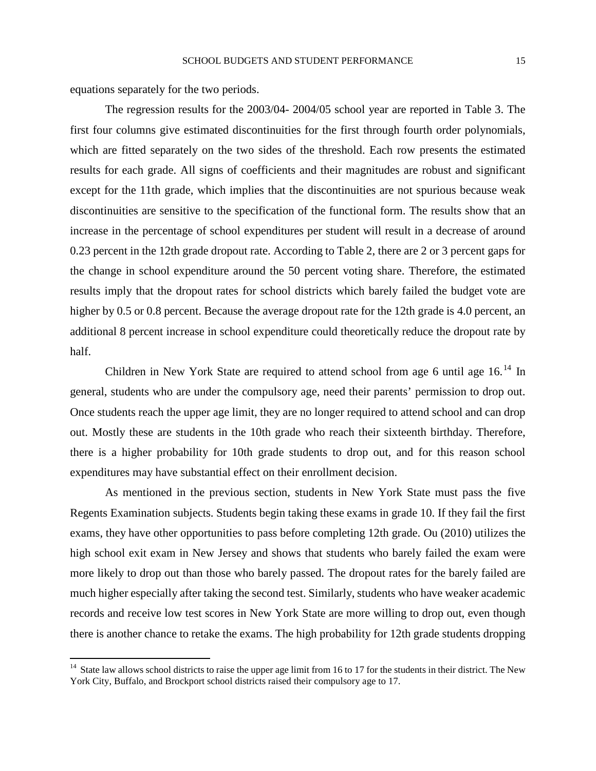equations separately for the two periods.

The regression results for the 2003/04- 2004/05 school year are reported in Table 3. The first four columns give estimated discontinuities for the first through fourth order polynomials, which are fitted separately on the two sides of the threshold. Each row presents the estimated results for each grade. All signs of coefficients and their magnitudes are robust and significant except for the 11th grade, which implies that the discontinuities are not spurious because weak discontinuities are sensitive to the specification of the functional form. The results show that an increase in the percentage of school expenditures per student will result in a decrease of around 0.23 percent in the 12th grade dropout rate. According to Table 2, there are 2 or 3 percent gaps for the change in school expenditure around the 50 percent voting share. Therefore, the estimated results imply that the dropout rates for school districts which barely failed the budget vote are higher by 0.5 or 0.8 percent. Because the average dropout rate for the 12th grade is 4.0 percent, an additional 8 percent increase in school expenditure could theoretically reduce the dropout rate by half.

Children in New York State are required to attend school from age 6 until age  $16<sup>14</sup>$  $16<sup>14</sup>$  $16<sup>14</sup>$  In general, students who are under the compulsory age, need their parents' permission to drop out. Once students reach the upper age limit, they are no longer required to attend school and can drop out. Mostly these are students in the 10th grade who reach their sixteenth birthday. Therefore, there is a higher probability for 10th grade students to drop out, and for this reason school expenditures may have substantial effect on their enrollment decision.

As mentioned in the previous section, students in New York State must pass the five Regents Examination subjects. Students begin taking these exams in grade 10. If they fail the first exams, they have other opportunities to pass before completing 12th grade. Ou (2010) utilizes the high school exit exam in New Jersey and shows that students who barely failed the exam were more likely to drop out than those who barely passed. The dropout rates for the barely failed are much higher especially after taking the second test. Similarly, students who have weaker academic records and receive low test scores in New York State are more willing to drop out, even though there is another chance to retake the exams. The high probability for 12th grade students dropping

<span id="page-17-0"></span> $14$  State law allows school districts to raise the upper age limit from 16 to 17 for the students in their district. The New York City, Buffalo, and Brockport school districts raised their compulsory age to 17.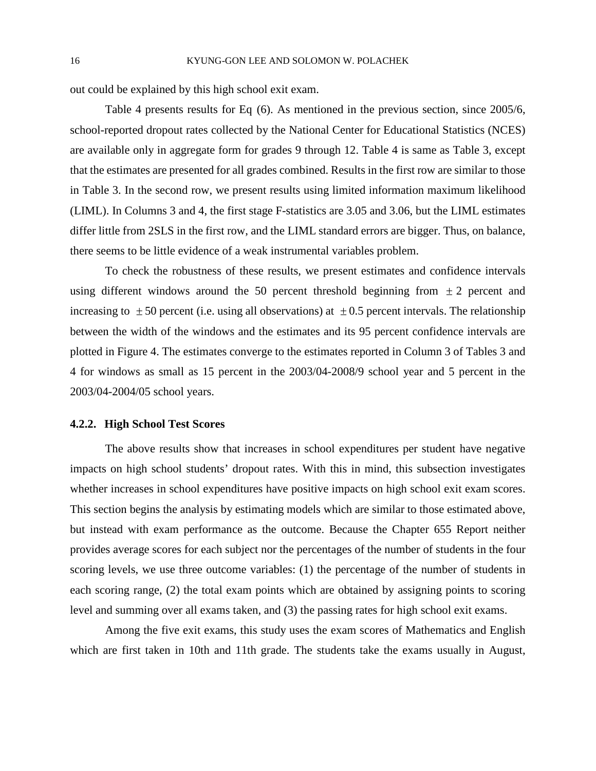out could be explained by this high school exit exam.

Table 4 presents results for Eq (6). As mentioned in the previous section, since 2005/6, school-reported dropout rates collected by the National Center for Educational Statistics (NCES) are available only in aggregate form for grades 9 through 12. Table 4 is same as Table 3, except that the estimates are presented for all grades combined. Results in the first row are similar to those in Table 3. In the second row, we present results using limited information maximum likelihood (LIML). In Columns 3 and 4, the first stage F-statistics are 3.05 and 3.06, but the LIML estimates differ little from 2SLS in the first row, and the LIML standard errors are bigger. Thus, on balance, there seems to be little evidence of a weak instrumental variables problem.

To check the robustness of these results, we present estimates and confidence intervals using different windows around the 50 percent threshold beginning from  $\pm 2$  percent and increasing to  $\pm 50$  percent (i.e. using all observations) at  $\pm 0.5$  percent intervals. The relationship between the width of the windows and the estimates and its 95 percent confidence intervals are plotted in Figure 4. The estimates converge to the estimates reported in Column 3 of Tables 3 and 4 for windows as small as 15 percent in the 2003/04-2008/9 school year and 5 percent in the 2003/04-2004/05 school years.

#### **4.2.2. High School Test Scores**

The above results show that increases in school expenditures per student have negative impacts on high school students' dropout rates. With this in mind, this subsection investigates whether increases in school expenditures have positive impacts on high school exit exam scores. This section begins the analysis by estimating models which are similar to those estimated above, but instead with exam performance as the outcome. Because the Chapter 655 Report neither provides average scores for each subject nor the percentages of the number of students in the four scoring levels, we use three outcome variables: (1) the percentage of the number of students in each scoring range, (2) the total exam points which are obtained by assigning points to scoring level and summing over all exams taken, and (3) the passing rates for high school exit exams.

Among the five exit exams, this study uses the exam scores of Mathematics and English which are first taken in 10th and 11th grade. The students take the exams usually in August,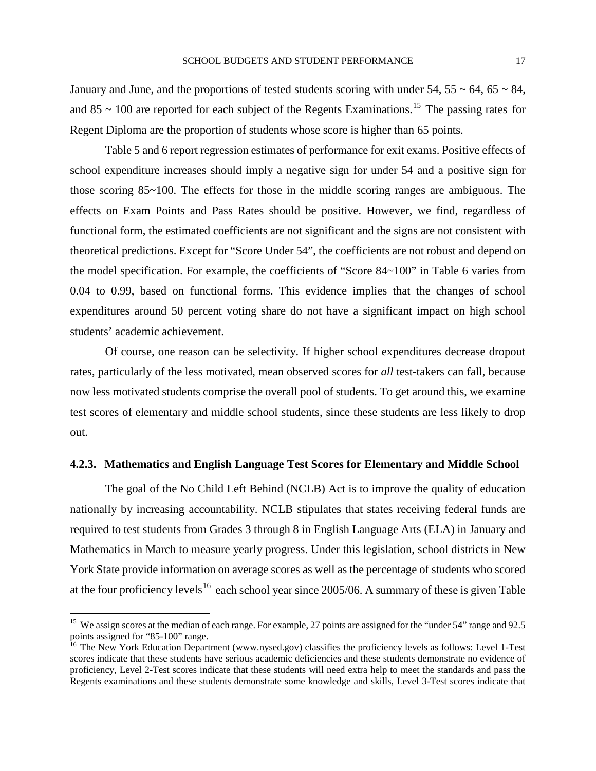January and June, and the proportions of tested students scoring with under  $54$ ,  $55 \sim 64$ ,  $65 \sim 84$ , and 85  $\sim$  100 are reported for each subject of the Regents Examinations.<sup>[15](#page-17-0)</sup> The passing rates for Regent Diploma are the proportion of students whose score is higher than 65 points.

Table 5 and 6 report regression estimates of performance for exit exams. Positive effects of school expenditure increases should imply a negative sign for under 54 and a positive sign for those scoring 85~100. The effects for those in the middle scoring ranges are ambiguous. The effects on Exam Points and Pass Rates should be positive. However, we find, regardless of functional form, the estimated coefficients are not significant and the signs are not consistent with theoretical predictions. Except for "Score Under 54", the coefficients are not robust and depend on the model specification. For example, the coefficients of "Score 84~100" in Table 6 varies from 0.04 to 0.99, based on functional forms. This evidence implies that the changes of school expenditures around 50 percent voting share do not have a significant impact on high school students' academic achievement.

Of course, one reason can be selectivity. If higher school expenditures decrease dropout rates, particularly of the less motivated, mean observed scores for *all* test-takers can fall, because now less motivated students comprise the overall pool of students. To get around this, we examine test scores of elementary and middle school students, since these students are less likely to drop out.

#### **4.2.3. Mathematics and English Language Test Scores for Elementary and Middle School**

The goal of the No Child Left Behind (NCLB) Act is to improve the quality of education nationally by increasing accountability. NCLB stipulates that states receiving federal funds are required to test students from Grades 3 through 8 in English Language Arts (ELA) in January and Mathematics in March to measure yearly progress. Under this legislation, school districts in New York State provide information on average scores as well as the percentage of students who scored at the four proficiency levels<sup>[16](#page-19-0)</sup> each school year since 2005/06. A summary of these is given Table

<sup>&</sup>lt;sup>15</sup> We assign scores at the median of each range. For example, 27 points are assigned for the "under 54" range and 92.5 points assigned for "85-100" range.

<span id="page-19-1"></span><span id="page-19-0"></span><sup>&</sup>lt;sup>16</sup> The New York Education Department (www.nysed.gov) classifies the proficiency levels as follows: Level 1-Test scores indicate that these students have serious academic deficiencies and these students demonstrate no evidence of proficiency, Level 2-Test scores indicate that these students will need extra help to meet the standards and pass the Regents examinations and these students demonstrate some knowledge and skills, Level 3-Test scores indicate that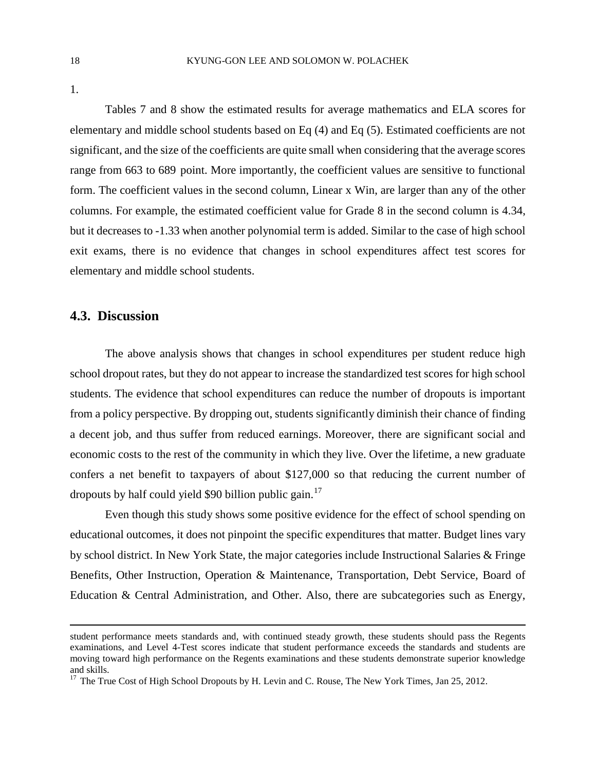1.

Tables 7 and 8 show the estimated results for average mathematics and ELA scores for elementary and middle school students based on Eq (4) and Eq (5). Estimated coefficients are not significant, and the size of the coefficients are quite small when considering that the average scores range from 663 to 689 point. More importantly, the coefficient values are sensitive to functional form. The coefficient values in the second column, Linear x Win, are larger than any of the other columns. For example, the estimated coefficient value for Grade 8 in the second column is 4.34, but it decreases to -1.33 when another polynomial term is added. Similar to the case of high school exit exams, there is no evidence that changes in school expenditures affect test scores for elementary and middle school students.

## **4.3. Discussion**

 $\overline{a}$ 

The above analysis shows that changes in school expenditures per student reduce high school dropout rates, but they do not appear to increase the standardized test scores for high school students. The evidence that school expenditures can reduce the number of dropouts is important from a policy perspective. By dropping out, students significantly diminish their chance of finding a decent job, and thus suffer from reduced earnings. Moreover, there are significant social and economic costs to the rest of the community in which they live. Over the lifetime, a new graduate confers a net benefit to taxpayers of about \$127,000 so that reducing the current number of dropouts by half could yield \$90 billion public gain.<sup>[17](#page-19-1)</sup>

Even though this study shows some positive evidence for the effect of school spending on educational outcomes, it does not pinpoint the specific expenditures that matter. Budget lines vary by school district. In New York State, the major categories include Instructional Salaries & Fringe Benefits, Other Instruction, Operation & Maintenance, Transportation, Debt Service, Board of Education & Central Administration, and Other. Also, there are subcategories such as Energy,

student performance meets standards and, with continued steady growth, these students should pass the Regents examinations, and Level 4-Test scores indicate that student performance exceeds the standards and students are moving toward high performance on the Regents examinations and these students demonstrate superior knowledge and skills.

<span id="page-20-0"></span><sup>&</sup>lt;sup>17</sup> The True Cost of High School Dropouts by H. Levin and C. Rouse, The New York Times, Jan 25, 2012.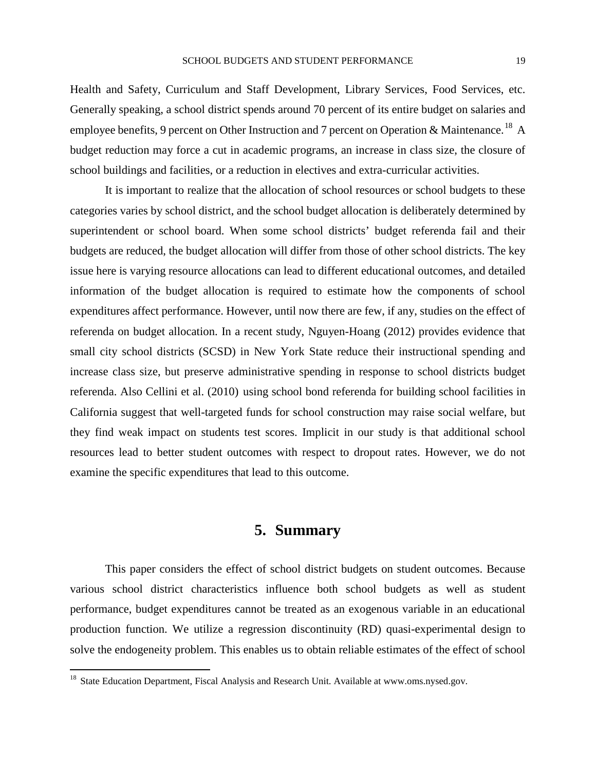Health and Safety, Curriculum and Staff Development, Library Services, Food Services, etc. Generally speaking, a school district spends around 70 percent of its entire budget on salaries and employee benefits, 9 percent on Other Instruction and 7 percent on Operation & Maintenance.<sup>[18](#page-20-0)</sup> A budget reduction may force a cut in academic programs, an increase in class size, the closure of school buildings and facilities, or a reduction in electives and extra-curricular activities.

It is important to realize that the allocation of school resources or school budgets to these categories varies by school district, and the school budget allocation is deliberately determined by superintendent or school board. When some school districts' budget referenda fail and their budgets are reduced, the budget allocation will differ from those of other school districts. The key issue here is varying resource allocations can lead to different educational outcomes, and detailed information of the budget allocation is required to estimate how the components of school expenditures affect performance. However, until now there are few, if any, studies on the effect of referenda on budget allocation. In a recent study, Nguyen-Hoang (2012) provides evidence that small city school districts (SCSD) in New York State reduce their instructional spending and increase class size, but preserve administrative spending in response to school districts budget referenda. Also Cellini et al. (2010) using school bond referenda for building school facilities in California suggest that well-targeted funds for school construction may raise social welfare, but they find weak impact on students test scores. Implicit in our study is that additional school resources lead to better student outcomes with respect to dropout rates. However, we do not examine the specific expenditures that lead to this outcome.

## **5. Summary**

This paper considers the effect of school district budgets on student outcomes. Because various school district characteristics influence both school budgets as well as student performance, budget expenditures cannot be treated as an exogenous variable in an educational production function. We utilize a regression discontinuity (RD) quasi-experimental design to solve the endogeneity problem. This enables us to obtain reliable estimates of the effect of school

<sup>&</sup>lt;sup>18</sup> State Education Department, Fiscal Analysis and Research Unit. Available at www.oms.nysed.gov.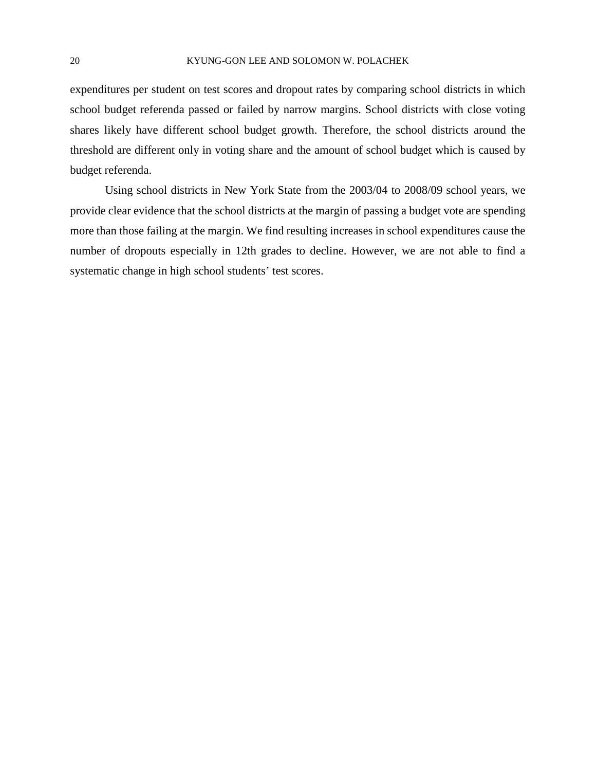expenditures per student on test scores and dropout rates by comparing school districts in which school budget referenda passed or failed by narrow margins. School districts with close voting shares likely have different school budget growth. Therefore, the school districts around the threshold are different only in voting share and the amount of school budget which is caused by budget referenda.

Using school districts in New York State from the 2003/04 to 2008/09 school years, we provide clear evidence that the school districts at the margin of passing a budget vote are spending more than those failing at the margin. We find resulting increases in school expenditures cause the number of dropouts especially in 12th grades to decline. However, we are not able to find a systematic change in high school students' test scores.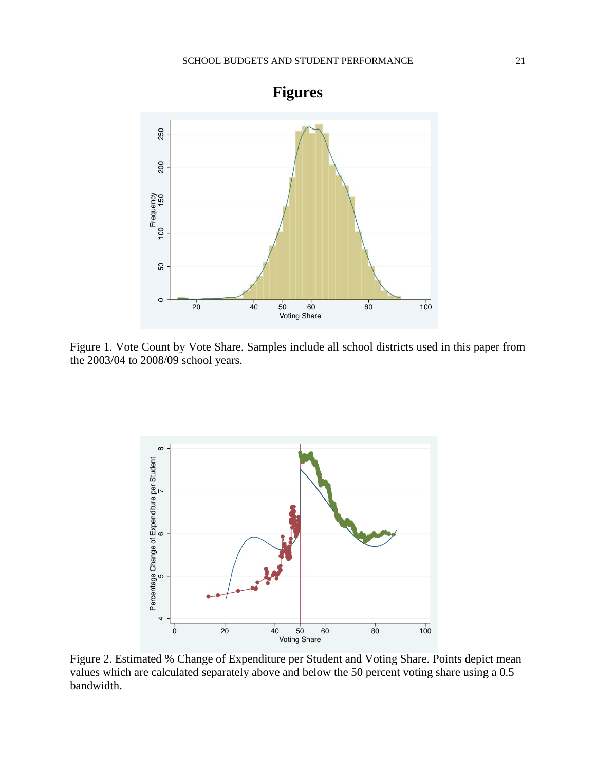

Figure 1. Vote Count by Vote Share. Samples include all school districts used in this paper from the 2003/04 to 2008/09 school years.



Figure 2. Estimated % Change of Expenditure per Student and Voting Share. Points depict mean values which are calculated separately above and below the 50 percent voting share using a 0.5 bandwidth.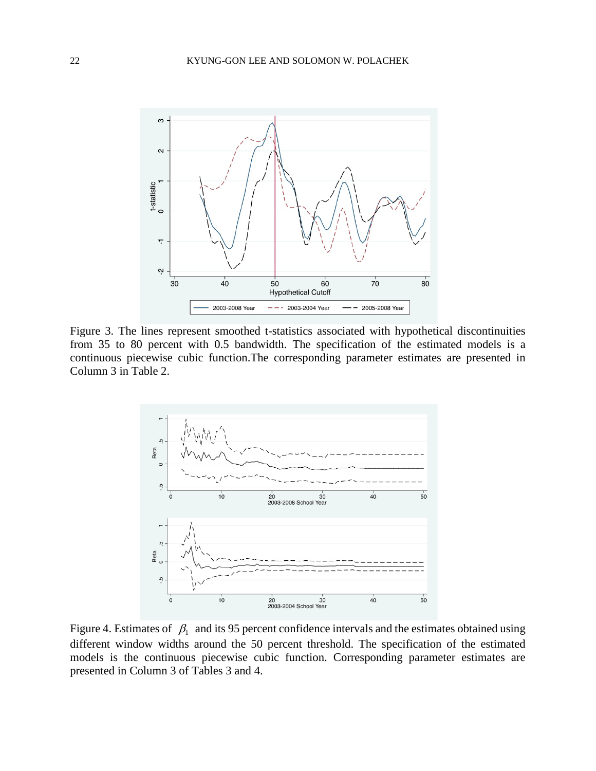

Figure 3. The lines represent smoothed t-statistics associated with hypothetical discontinuities from 35 to 80 percent with 0.5 bandwidth. The specification of the estimated models is a continuous piecewise cubic function.The corresponding parameter estimates are presented in Column 3 in Table 2.



Figure 4. Estimates of  $\beta_1$  and its 95 percent confidence intervals and the estimates obtained using different window widths around the 50 percent threshold. The specification of the estimated models is the continuous piecewise cubic function. Corresponding parameter estimates are presented in Column 3 of Tables 3 and 4.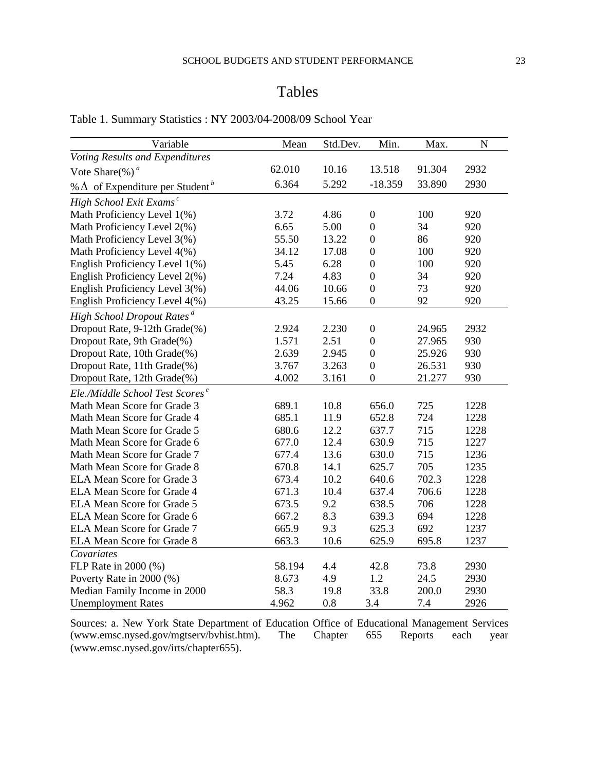## Tables

| Variable                                           | Mean   | Std.Dev. | Min.             | Max.   | N    |
|----------------------------------------------------|--------|----------|------------------|--------|------|
| Voting Results and Expenditures                    |        |          |                  |        |      |
| Vote Share(%) $a$                                  | 62.010 | 10.16    | 13.518           | 91.304 | 2932 |
| % $\Delta$ of Expenditure per Student <sup>b</sup> | 6.364  | 5.292    | $-18.359$        | 33.890 | 2930 |
| High School Exit Exams <sup>c</sup>                |        |          |                  |        |      |
| Math Proficiency Level 1(%)                        | 3.72   | 4.86     | $\boldsymbol{0}$ | 100    | 920  |
| Math Proficiency Level 2(%)                        | 6.65   | 5.00     | $\boldsymbol{0}$ | 34     | 920  |
| Math Proficiency Level 3(%)                        | 55.50  | 13.22    | $\boldsymbol{0}$ | 86     | 920  |
| Math Proficiency Level 4(%)                        | 34.12  | 17.08    | $\mathbf{0}$     | 100    | 920  |
| English Proficiency Level 1(%)                     | 5.45   | 6.28     | $\boldsymbol{0}$ | 100    | 920  |
| English Proficiency Level 2(%)                     | 7.24   | 4.83     | $\boldsymbol{0}$ | 34     | 920  |
| English Proficiency Level 3(%)                     | 44.06  | 10.66    | $\boldsymbol{0}$ | 73     | 920  |
| English Proficiency Level 4(%)                     | 43.25  | 15.66    | $\boldsymbol{0}$ | 92     | 920  |
| High School Dropout Rates <sup>d</sup>             |        |          |                  |        |      |
| Dropout Rate, 9-12th Grade(%)                      | 2.924  | 2.230    | $\boldsymbol{0}$ | 24.965 | 2932 |
| Dropout Rate, 9th Grade(%)                         | 1.571  | 2.51     | $\boldsymbol{0}$ | 27.965 | 930  |
| Dropout Rate, 10th Grade(%)                        | 2.639  | 2.945    | $\overline{0}$   | 25.926 | 930  |
| Dropout Rate, 11th Grade(%)                        | 3.767  | 3.263    | $\boldsymbol{0}$ | 26.531 | 930  |
| Dropout Rate, 12th Grade(%)                        | 4.002  | 3.161    | $\mathbf{0}$     | 21.277 | 930  |
| Ele./Middle School Test Scores <sup>e</sup>        |        |          |                  |        |      |
| Math Mean Score for Grade 3                        | 689.1  | 10.8     | 656.0            | 725    | 1228 |
| Math Mean Score for Grade 4                        | 685.1  | 11.9     | 652.8            | 724    | 1228 |
| Math Mean Score for Grade 5                        | 680.6  | 12.2     | 637.7            | 715    | 1228 |
| Math Mean Score for Grade 6                        | 677.0  | 12.4     | 630.9            | 715    | 1227 |
| Math Mean Score for Grade 7                        | 677.4  | 13.6     | 630.0            | 715    | 1236 |
| Math Mean Score for Grade 8                        | 670.8  | 14.1     | 625.7            | 705    | 1235 |
| <b>ELA Mean Score for Grade 3</b>                  | 673.4  | 10.2     | 640.6            | 702.3  | 1228 |
| <b>ELA Mean Score for Grade 4</b>                  | 671.3  | 10.4     | 637.4            | 706.6  | 1228 |
| ELA Mean Score for Grade 5                         | 673.5  | 9.2      | 638.5            | 706    | 1228 |
| ELA Mean Score for Grade 6                         | 667.2  | 8.3      | 639.3            | 694    | 1228 |
| <b>ELA Mean Score for Grade 7</b>                  | 665.9  | 9.3      | 625.3            | 692    | 1237 |
| <b>ELA Mean Score for Grade 8</b>                  | 663.3  | 10.6     | 625.9            | 695.8  | 1237 |
| Covariates                                         |        |          |                  |        |      |
| FLP Rate in 2000 (%)                               | 58.194 | 4.4      | 42.8             | 73.8   | 2930 |
| Poverty Rate in 2000 (%)                           | 8.673  | 4.9      | 1.2              | 24.5   | 2930 |
| Median Family Income in 2000                       | 58.3   | 19.8     | 33.8             | 200.0  | 2930 |
| <b>Unemployment Rates</b>                          | 4.962  | 0.8      | 3.4              | 7.4    | 2926 |

## Table 1. Summary Statistics : NY 2003/04-2008/09 School Year

Sources: a. New York State Department of Education Office of Educational Management Services (www.emsc.nysed.gov/mgtserv/bvhist.htm). The Chapter 655 Reports each year (www.emsc.nysed.gov/mgtserv/bvhist.htm). The Chapter 655 Reports each year (www.emsc.nysed.gov/irts/chapter655).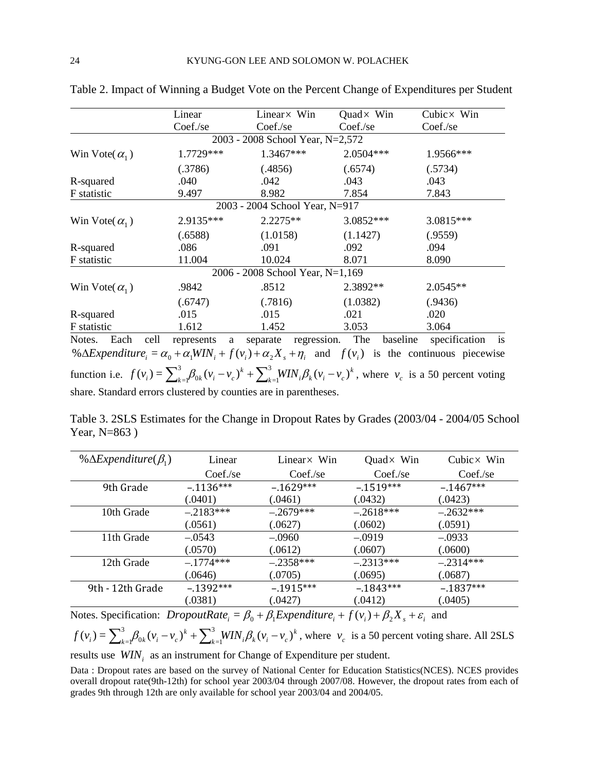|                          | Linear                | Linear× Win                      | Quad $\times$ Win | Cubic $\times$ Win        |
|--------------------------|-----------------------|----------------------------------|-------------------|---------------------------|
|                          | Coef./se              | Coef./se                         | Coef./se          | Coef./se                  |
|                          |                       | 2003 - 2008 School Year, N=2,572 |                   |                           |
| Win Vote( $\alpha_1$ )   | 1.7729***             | 1.3467***                        | 2.0504***         | 1.9566***                 |
|                          | (.3786)               | (.4856)                          | (.6574)           | (.5734)                   |
| R-squared                | .040                  | .042                             | .043              | .043                      |
| F statistic              | 9.497                 | 8.982                            | 7.854             | 7.843                     |
|                          |                       | 2003 - 2004 School Year, N=917   |                   |                           |
| Win Vote( $\alpha_1$ )   | 2.9135***             | $2.2275**$                       | 3.0852***         | 3.0815***                 |
|                          | (.6588)               | (1.0158)                         | (1.1427)          | (.9559)                   |
| R-squared                | .086                  | .091                             | .092              | .094                      |
| F statistic              | 11.004                | 10.024                           | 8.071             | 8.090                     |
|                          |                       | 2006 - 2008 School Year, N=1,169 |                   |                           |
| Win Vote( $\alpha_{1}$ ) | .9842                 | .8512                            | 2.3892**          | $2.0545**$                |
|                          | (.6747)               | (.7816)                          | (1.0382)          | (.9436)                   |
| R-squared                | .015                  | .015                             | .021              | .020                      |
| F statistic              | 1.612                 | 1.452                            | 3.053             | 3.064                     |
| Notos <sub>.</sub>       | roproconte o conorato | rograccion                       | Tha               | hospline specification is |

Table 2. Impact of Winning a Budget Vote on the Percent Change of Expenditures per Student

Notes. Each cell represents a separate regression. The baseline specification is  $\% \Delta Expenditive_i = \alpha_0 + \alpha_1 WIN_i + f(v_i) + \alpha_2 X_s + \eta_i$  and  $f(v_i)$  is the continuous piecewise function i.e.  $f(v_i) = \sum_{k=1}^{3} \beta_{0k} (v_i - v_c)^k + \sum_{k=1}^{3} WIN_i \beta_k (v_i - v_c)^k$  $f(v_i) = \sum_{k=1}^{3} \beta_{0k} (v_i - v_c)^k + \sum_{k=1}^{3} WIN_i \beta_k (v_i - v_c)$  $\sum_{k=1}^{3} \beta_{0k} (v_i - v_c)^k + \sum_{k=1}^{3} WIN_i \beta_k (v_i - v_c)^k$ , where  $v_c$  is a 50 percent voting share. Standard errors clustered by counties are in parentheses.

Table 3. 2SLS Estimates for the Change in Dropout Rates by Grades (2003/04 - 2004/05 School Year, N=863 )

| % $\Delta Expenditure(\beta_1)$ | Linear      | Linear $\times$ Win | Quad $\times$ Win | Cubic $\times$ Win |
|---------------------------------|-------------|---------------------|-------------------|--------------------|
|                                 | Coef./se    | Coef/sec            | Coef/sec          | Coef./se           |
| 9th Grade                       | $-.1136***$ | $-.1629***$         | $-.1519***$       | $-1467***$         |
|                                 | (.0401)     | (.0461)             | (.0432)           | (.0423)            |
| 10th Grade                      | $-.2183***$ | $-.2679***$         | $-.2618***$       | $-.2632***$        |
|                                 | (.0561)     | (.0627)             | (.0602)           | (.0591)            |
| 11th Grade                      | $-.0543$    | $-.0960$            | $-.0919$          | $-.0933$           |
|                                 | (.0570)     | (.0612)             | (.0607)           | (.0600)            |
| 12th Grade                      | $-.1774***$ | $-.2358***$         | $-.2313***$       | $-.2314***$        |
|                                 | (.0646)     | (.0705)             | (.0695)           | (.0687)            |
| 9th - 12th Grade                | $-.1392***$ | $-.1915***$         | $-1843***$        | $-1837***$         |
|                                 | (.0381)     | (.0427)             | (.0412)           | (.0405)            |

Notes. Specification: *DropoutRate*<sub>i</sub> =  $\beta_0 + \beta_1 Expenditure_i + f(v_i) + \beta_2 X + \varepsilon_i$  and

$$
f(v_i) = \sum_{k=1}^{3} \beta_{0k} (v_i - v_c)^k + \sum_{k=1}^{3} WIN_i \beta_k (v_i - v_c)^k
$$
, where  $v_c$  is a 50 percent voting share. All 2SLS

results use *WIN<sub>i</sub>* as an instrument for Change of Expenditure per student.

Data : Dropout rates are based on the survey of National Center for Education Statistics(NCES). NCES provides overall dropout rate(9th-12th) for school year 2003/04 through 2007/08. However, the dropout rates from each of grades 9th through 12th are only available for school year 2003/04 and 2004/05.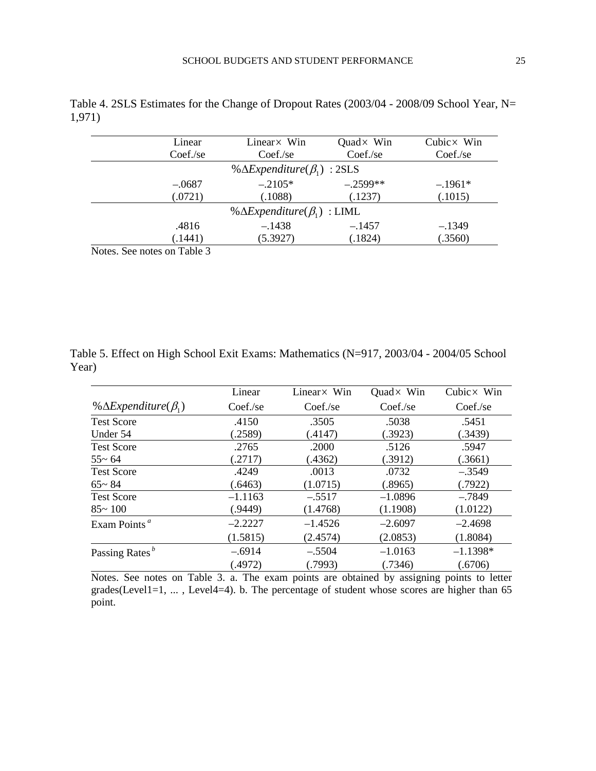| Linear                      | Linear $\times$ Win                                           | Quad $\times$ Win | Cubic $\times$ Win |
|-----------------------------|---------------------------------------------------------------|-------------------|--------------------|
| Coef/sec                    | Coef/sec                                                      | Coef./se          | Coef/sec           |
|                             | % $\Delta$ <i>Expenditure</i> $(\beta_1)$ : 2SLS              |                   |                    |
| $-.0687$                    | $-.2105*$                                                     | $-.2599**$        | $-.1961*$          |
| (.0721)                     | (.1088)                                                       | (.1237)           | (.1015)            |
|                             | % $\Delta$ <i>Expenditure</i> ( $\beta$ <sub>1</sub> ) : LIML |                   |                    |
| .4816                       | $-.1438$                                                      | $-.1457$          | $-.1349$           |
| (.1441)                     | (5.3927)                                                      | (.1824)           | (.3560)            |
| Notas, Saa notas on Tabla 3 |                                                               |                   |                    |

Table 4. 2SLS Estimates for the Change of Dropout Rates (2003/04 - 2008/09 School Year, N= 1,971)

Notes. See notes on Table 3

Table 5. Effect on High School Exit Exams: Mathematics (N=917, 2003/04 - 2004/05 School Year)

|                                                        | Linear    | Linear × Win | Quad $\times$ Win | Cubic $\times$ Win |
|--------------------------------------------------------|-----------|--------------|-------------------|--------------------|
| % $\Delta$ <i>Expenditure</i> ( $\beta$ <sub>1</sub> ) | Coef/sec  | Coef./se     | Coef/sec          | Coef./se           |
| <b>Test Score</b>                                      | .4150     | .3505        | .5038             | .5451              |
| Under 54                                               | (.2589)   | (.4147)      | (.3923)           | (.3439)            |
| <b>Test Score</b>                                      | .2765     | .2000        | .5126             | .5947              |
| $55 - 64$                                              | (.2717)   | (.4362)      | (.3912)           | (.3661)            |
| <b>Test Score</b>                                      | .4249     | .0013        | .0732             | $-.3549$           |
| $65 - 84$                                              | (.6463)   | (1.0715)     | (.8965)           | (.7922)            |
| <b>Test Score</b>                                      | $-1.1163$ | $-.5517$     | $-1.0896$         | $-.7849$           |
| $85 - 100$                                             | (.9449)   | (1.4768)     | (1.1908)          | (1.0122)           |
| Exam Points <sup>a</sup>                               | $-2.2227$ | $-1.4526$    | $-2.6097$         | $-2.4698$          |
|                                                        | (1.5815)  | (2.4574)     | (2.0853)          | (1.8084)           |
| Passing Rates <sup>b</sup>                             | $-.6914$  | $-.5504$     | $-1.0163$         | $-1.1398*$         |
|                                                        | (.4972)   | (.7993)      | (.7346)           | (.6706)            |

Notes. See notes on Table 3. a. The exam points are obtained by assigning points to letter grades(Level1=1, ... , Level4=4). b. The percentage of student whose scores are higher than 65 point.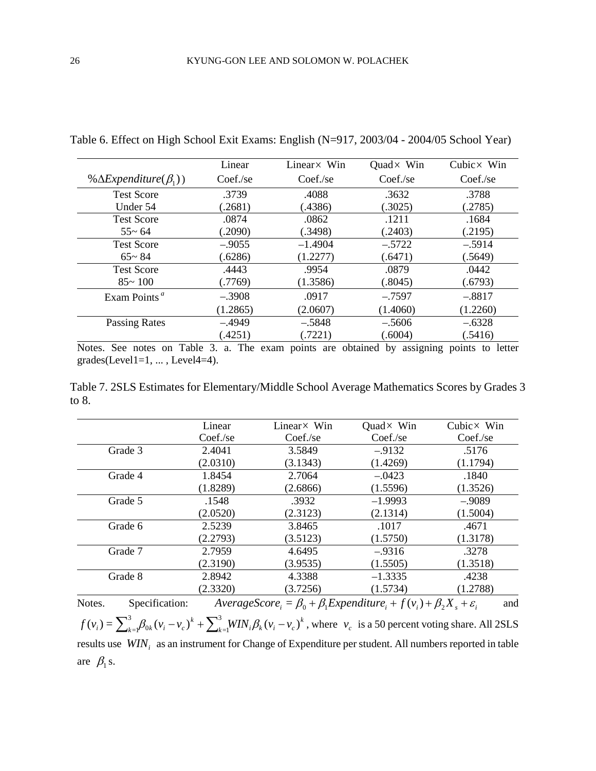|                                       | Linear   | Linear $\times$ Win | Quad $\times$ Win | Cubic $\times$ Win |
|---------------------------------------|----------|---------------------|-------------------|--------------------|
| % $\Delta Expenditure(\beta_1)$       | Coef/sec | Coef/sec            | Coef/sec          | Coef/sec           |
| <b>Test Score</b>                     | .3739    | .4088               | .3632             | .3788              |
| Under 54                              | .2681)   | (.4386)             | (.3025)           | (2785)             |
| <b>Test Score</b>                     | .0874    | .0862               | .1211             | .1684              |
| $55 - 64$                             | .2090)   | (.3498)             | (.2403)           | (.2195)            |
| <b>Test Score</b>                     | $-.9055$ | $-1.4904$           | $-.5722$          | $-.5914$           |
| $65 - 84$                             | (.6286)  | (1.2277)            | (.6471)           | (.5649)            |
| <b>Test Score</b>                     | .4443    | .9954               | .0879             | .0442              |
| $85 - 100$                            | (.7769)  | (1.3586)            | (.8045)           | (.6793)            |
| Exam Points <sup><math>a</math></sup> | $-.3908$ | .0917               | $-.7597$          | $-.8817$           |
|                                       | (1.2865) | (2.0607)            | (1.4060)          | (1.2260)           |
| Passing Rates                         | $-.4949$ | $-.5848$            | $-.5606$          | $-.6328$           |
|                                       | (.4251)  | (.7221)             | (.6004)           | (.5416)            |

Table 6. Effect on High School Exit Exams: English (N=917, 2003/04 - 2004/05 School Year)

Notes. See notes on Table 3. a. The exam points are obtained by assigning points to letter  $grades(Level1=1, \ldots, Level4=4).$ 

Table 7. 2SLS Estimates for Elementary/Middle School Average Mathematics Scores by Grades 3 to 8.

|                          | Linear   | Linear × Win                                                                                                      | Quad $\times$ Win | Cubic $\times$ Win |
|--------------------------|----------|-------------------------------------------------------------------------------------------------------------------|-------------------|--------------------|
|                          | Coef./se | Coef./se                                                                                                          | Coef./se          | Coef/sec           |
| Grade 3                  | 2.4041   | 3.5849                                                                                                            | $-.9132$          | .5176              |
|                          | (2.0310) | (3.1343)                                                                                                          | (1.4269)          | (1.1794)           |
| Grade 4                  | 1.8454   | 2.7064                                                                                                            | $-.0423$          | .1840              |
|                          | (1.8289) | (2.6866)                                                                                                          | (1.5596)          | (1.3526)           |
| Grade 5                  | .1548    | .3932                                                                                                             | $-1.9993$         | $-.9089$           |
|                          | (2.0520) | (2.3123)                                                                                                          | (2.1314)          | (1.5004)           |
| Grade 6                  | 2.5239   | 3.8465                                                                                                            | .1017             | .4671              |
|                          | (2.2793) | (3.5123)                                                                                                          | (1.5750)          | (1.3178)           |
| Grade 7                  | 2.7959   | 4.6495                                                                                                            | $-.9316$          | .3278              |
|                          | (2.3190) | (3.9535)                                                                                                          | (1.5505)          | (1.3518)           |
| Grade 8                  | 2.8942   | 4.3388                                                                                                            | $-1.3335$         | .4238              |
|                          | (2.3320) | (3.7256)                                                                                                          | (1.5734)          | (1.2788)           |
| Notes.<br>Specification: |          | AverageScore <sub>i</sub> = $\beta_0 + \beta_1$ Expenditure <sub>i</sub> + $f(v_i) + \beta_2 X_s + \varepsilon_i$ |                   | and                |

*k*  $k=1$ <sup>*i*</sup> *k i i k k i i c*  $f(v_i) = \sum_{k=1}^{3} \beta_{0k} (v_i - v_c)^k + \sum_{k=1}^{3} WIN_i \beta_k (v_i - v_c)$  $\sum_{k=1}^{3} \beta_{0k} (v_i - v_c)^k + \sum_{k=1}^{3} WIN_i \beta_k (v_i - v_c)^k$ , where  $v_c$  is a 50 percent voting share. All 2SLS results use  $WIN_i$  as an instrument for Change of Expenditure per student. All numbers reported in table are  $\beta_1$  s.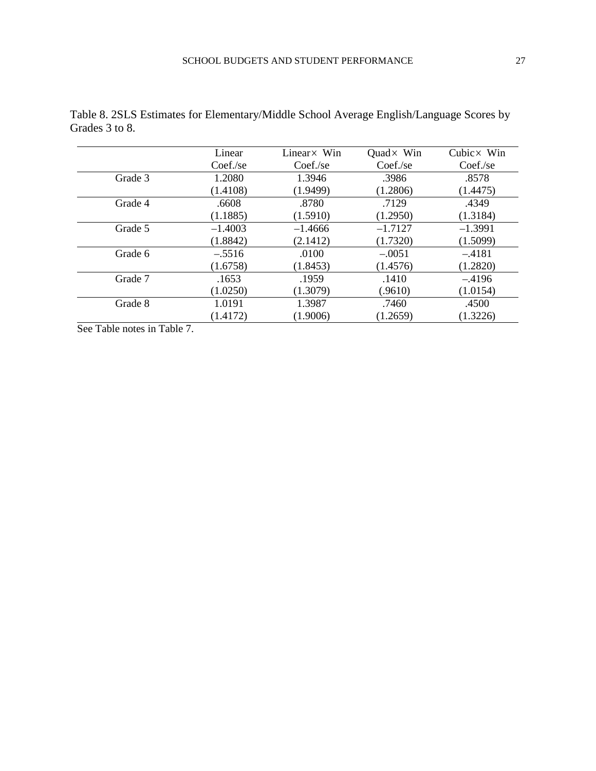|         | Linear    | Linear × Win | Quad $\times$ Win | Cubic $\times$ Win |
|---------|-----------|--------------|-------------------|--------------------|
|         | Coef/sec  | Coef/sec     | Coef./se          | Coef/sec           |
| Grade 3 | 1.2080    | 1.3946       | .3986             | .8578              |
|         | (1.4108)  | (1.9499)     | (1.2806)          | (1.4475)           |
| Grade 4 | .6608     | .8780        | .7129             | .4349              |
|         | (1.1885)  | (1.5910)     | (1.2950)          | (1.3184)           |
| Grade 5 | $-1.4003$ | $-1.4666$    | $-1.7127$         | $-1.3991$          |
|         | (1.8842)  | (2.1412)     | (1.7320)          | (1.5099)           |
| Grade 6 | $-.5516$  | .0100        | $-.0051$          | $-.4181$           |
|         | (1.6758)  | (1.8453)     | (1.4576)          | (1.2820)           |
| Grade 7 | .1653     | .1959        | .1410             | $-.4196$           |
|         | (1.0250)  | (1.3079)     | (.9610)           | (1.0154)           |
| Grade 8 | 1.0191    | 1.3987       | .7460             | .4500              |
|         | (1.4172)  | (1.9006)     | (1.2659)          | (1.3226)           |

|                | Table 8. 2SLS Estimates for Elementary/Middle School Average English/Language Scores by |  |  |
|----------------|-----------------------------------------------------------------------------------------|--|--|
| Grades 3 to 8. |                                                                                         |  |  |

See Table notes in Table 7.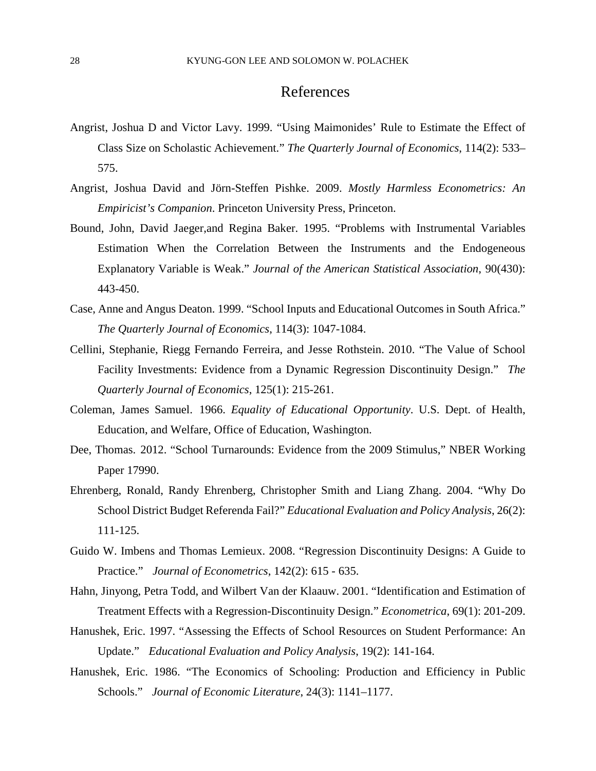## References

- Angrist, Joshua D and Victor Lavy. 1999. "Using Maimonides' Rule to Estimate the Effect of Class Size on Scholastic Achievement." *The Quarterly Journal of Economics*, 114(2): 533– 575.
- Angrist, Joshua David and Jörn-Steffen Pishke. 2009. *Mostly Harmless Econometrics: An Empiricist's Companion*. Princeton University Press, Princeton.
- Bound, John, David Jaeger,and Regina Baker. 1995. "Problems with Instrumental Variables Estimation When the Correlation Between the Instruments and the Endogeneous Explanatory Variable is Weak." *Journal of the American Statistical Association*, 90(430): 443-450.
- Case, Anne and Angus Deaton. 1999. "School Inputs and Educational Outcomes in South Africa." *The Quarterly Journal of Economics*, 114(3): 1047-1084.
- Cellini, Stephanie, Riegg Fernando Ferreira, and Jesse Rothstein. 2010. "The Value of School Facility Investments: Evidence from a Dynamic Regression Discontinuity Design." *The Quarterly Journal of Economics*, 125(1): 215-261.
- Coleman, James Samuel. 1966. *Equality of Educational Opportunity*. U.S. Dept. of Health, Education, and Welfare, Office of Education, Washington.
- Dee, Thomas. 2012. "School Turnarounds: Evidence from the 2009 Stimulus," NBER Working Paper 17990.
- Ehrenberg, Ronald, Randy Ehrenberg, Christopher Smith and Liang Zhang. 2004. "Why Do School District Budget Referenda Fail?" *Educational Evaluation and Policy Analysis*, 26(2): 111-125.
- Guido W. Imbens and Thomas Lemieux. 2008. "Regression Discontinuity Designs: A Guide to Practice." *Journal of Econometrics*, 142(2): 615 - 635.
- Hahn, Jinyong, Petra Todd, and Wilbert Van der Klaauw. 2001. "Identification and Estimation of Treatment Effects with a Regression-Discontinuity Design." *Econometrica*, 69(1): 201-209.
- Hanushek, Eric. 1997. "Assessing the Effects of School Resources on Student Performance: An Update." *Educational Evaluation and Policy Analysis*, 19(2): 141-164.
- Hanushek, Eric. 1986. "The Economics of Schooling: Production and Efficiency in Public Schools." *Journal of Economic Literature*, 24(3): 1141–1177.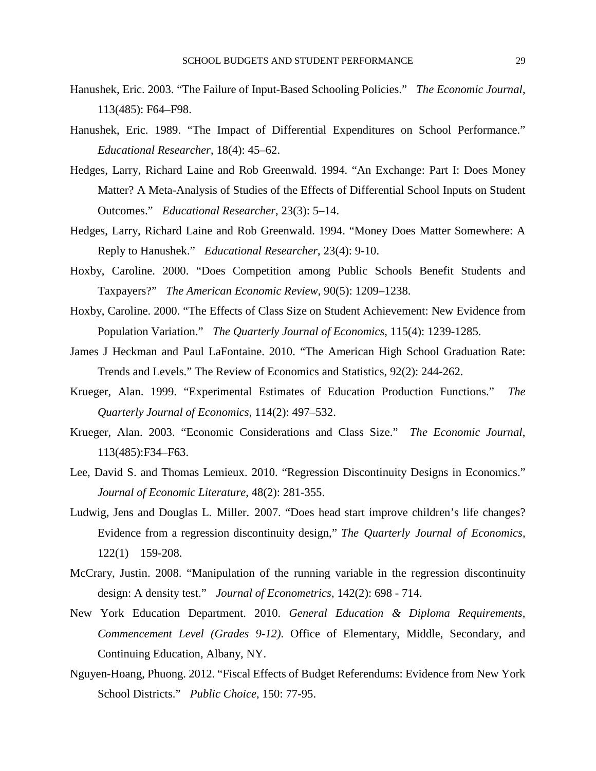- Hanushek, Eric. 2003. "The Failure of Input-Based Schooling Policies." *The Economic Journal*, 113(485): F64–F98.
- Hanushek, Eric. 1989. "The Impact of Differential Expenditures on School Performance." *Educational Researcher*, 18(4): 45–62.
- Hedges, Larry, Richard Laine and Rob Greenwald. 1994. "An Exchange: Part I: Does Money Matter? A Meta-Analysis of Studies of the Effects of Differential School Inputs on Student Outcomes." *Educational Researcher*, 23(3): 5–14.
- Hedges, Larry, Richard Laine and Rob Greenwald. 1994. "Money Does Matter Somewhere: A Reply to Hanushek." *Educational Researcher*, 23(4): 9-10.
- Hoxby, Caroline. 2000. "Does Competition among Public Schools Benefit Students and Taxpayers?" *The American Economic Review*, 90(5): 1209–1238.
- Hoxby, Caroline. 2000. "The Effects of Class Size on Student Achievement: New Evidence from Population Variation." *The Quarterly Journal of Economics*, 115(4): 1239-1285.
- James J Heckman and Paul LaFontaine. 2010. "The American High School Graduation Rate: Trends and Levels." The Review of Economics and Statistics, 92(2): 244-262.
- Krueger, Alan. 1999. "Experimental Estimates of Education Production Functions." *The Quarterly Journal of Economics*, 114(2): 497–532.
- Krueger, Alan. 2003. "Economic Considerations and Class Size." *The Economic Journal*, 113(485):F34–F63.
- Lee, David S. and Thomas Lemieux. 2010. "Regression Discontinuity Designs in Economics." *Journal of Economic Literature*, 48(2): 281-355.
- Ludwig, Jens and Douglas L. Miller. 2007. "Does head start improve children's life changes? Evidence from a regression discontinuity design," *The Quarterly Journal of Economics,*  122(1) 159-208.
- McCrary, Justin. 2008. "Manipulation of the running variable in the regression discontinuity design: A density test." *Journal of Econometrics*, 142(2): 698 - 714.
- New York Education Department. 2010. *General Education & Diploma Requirements, Commencement Level (Grades 9-12)*. Office of Elementary, Middle, Secondary, and Continuing Education, Albany, NY.
- Nguyen-Hoang, Phuong. 2012. "Fiscal Effects of Budget Referendums: Evidence from New York School Districts." *Public Choice*, 150: 77-95.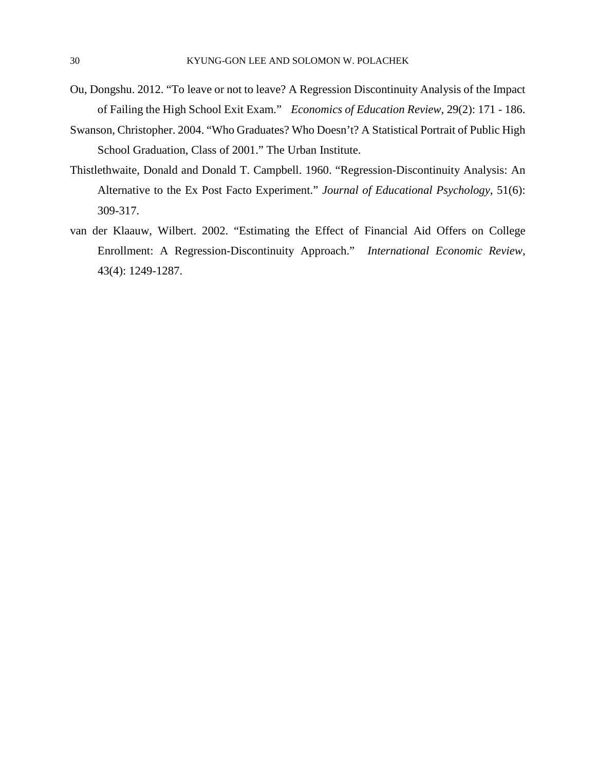- Ou, Dongshu. 2012. "To leave or not to leave? A Regression Discontinuity Analysis of the Impact of Failing the High School Exit Exam." *Economics of Education Review*, 29(2): 171 - 186.
- Swanson, Christopher. 2004. "Who Graduates? Who Doesn't? A Statistical Portrait of Public High School Graduation, Class of 2001." The Urban Institute.
- Thistlethwaite, Donald and Donald T. Campbell. 1960. "Regression-Discontinuity Analysis: An Alternative to the Ex Post Facto Experiment." *Journal of Educational Psychology*, 51(6): 309-317.
- van der Klaauw, Wilbert. 2002. "Estimating the Effect of Financial Aid Offers on College Enrollment: A Regression-Discontinuity Approach." *International Economic Review*, 43(4): 1249-1287.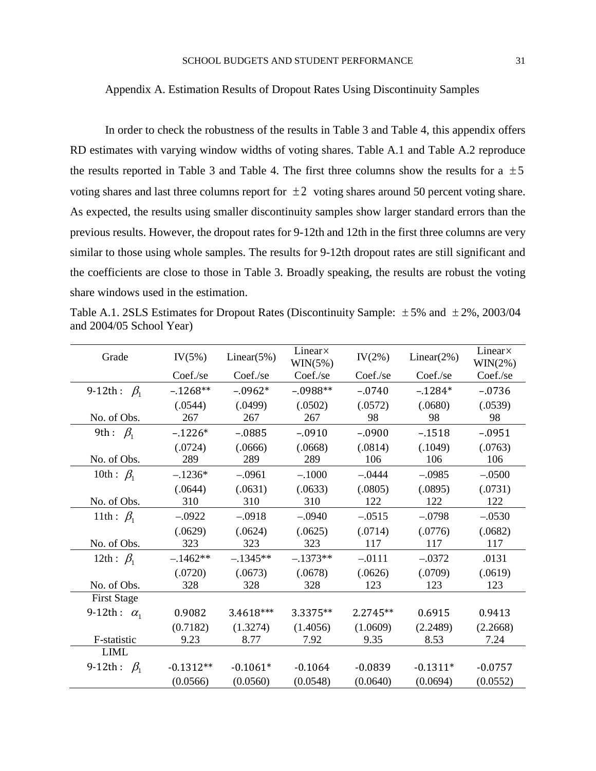#### Appendix A. Estimation Results of Dropout Rates Using Discontinuity Samples

In order to check the robustness of the results in Table 3 and Table 4, this appendix offers RD estimates with varying window widths of voting shares. Table A.1 and Table A.2 reproduce the results reported in Table 3 and Table 4. The first three columns show the results for a  $\pm 5$ voting shares and last three columns report for  $\pm 2$  voting shares around 50 percent voting share. As expected, the results using smaller discontinuity samples show larger standard errors than the previous results. However, the dropout rates for 9-12th and 12th in the first three columns are very similar to those using whole samples. The results for 9-12th dropout rates are still significant and the coefficients are close to those in Table 3. Broadly speaking, the results are robust the voting share windows used in the estimation.

Table A.1. 2SLS Estimates for Dropout Rates (Discontinuity Sample:  $\pm$  5% and  $\pm$  2%, 2003/04 and 2004/05 School Year)

| Grade              | IV(5%)      | Linear $(5%)$ | Linear×<br>$WIN(5\%)$ | $IV(2\%)$ | Linear $(2\%)$ | Linear×<br>$WIN(2\%)$ |
|--------------------|-------------|---------------|-----------------------|-----------|----------------|-----------------------|
|                    | Coef./se    | Coef./se      | Coef./se              | Coef./se  | Coef./se       | Coef./se              |
| 9-12th: $\beta_1$  | $-.1268**$  | $-.0962*$     | $-.0988**$            | $-.0740$  | $-.1284*$      | $-.0736$              |
|                    | (.0544)     | (.0499)       | (.0502)               | (.0572)   | (.0680)        | (.0539)               |
| No. of Obs.        | 267         | 267           | 267                   | 98        | 98             | 98                    |
| 9th: $\beta_1$     | $-.1226*$   | $-.0885$      | $-.0910$              | $-.0900$  | $-.1518$       | $-.0951$              |
|                    | (.0724)     | (.0666)       | (.0668)               | (.0814)   | (.1049)        | (.0763)               |
| No. of Obs.        | 289         | 289           | 289                   | 106       | 106            | 106                   |
| 10th : $\beta_1$   | $-.1236*$   | $-.0961$      | $-.1000$              | $-.0444$  | $-.0985$       | $-.0500$              |
|                    | (.0644)     | (.0631)       | (.0633)               | (.0805)   | (.0895)        | (.0731)               |
| No. of Obs.        | 310         | 310           | 310                   | 122       | 122            | 122                   |
| 11th: $\beta_1$    | $-.0922$    | $-.0918$      | $-.0940$              | $-.0515$  | $-.0798$       | $-.0530$              |
|                    | (.0629)     | (.0624)       | (.0625)               | (.0714)   | (.0776)        | (.0682)               |
| No. of Obs.        | 323         | 323           | 323                   | 117       | 117            | 117                   |
| 12th : $\beta_1$   | $-.1462**$  | $-.1345**$    | $-.1373**$            | $-.0111$  | $-.0372$       | .0131                 |
|                    | (.0720)     | (.0673)       | (.0678)               | (.0626)   | (.0709)        | (.0619)               |
| No. of Obs.        | 328         | 328           | 328                   | 123       | 123            | 123                   |
| <b>First Stage</b> |             |               |                       |           |                |                       |
| 9-12th: $\alpha_1$ | 0.9082      | 3.4618***     | 3.3375**              | 2.2745**  | 0.6915         | 0.9413                |
|                    | (0.7182)    | (1.3274)      | (1.4056)              | (1.0609)  | (2.2489)       | (2.2668)              |
| F-statistic        | 9.23        | 8.77          | 7.92                  | 9.35      | 8.53           | 7.24                  |
| <b>LIML</b>        |             |               |                       |           |                |                       |
| 9-12th: $\beta_1$  | $-0.1312**$ | $-0.1061*$    | $-0.1064$             | $-0.0839$ | $-0.1311*$     | $-0.0757$             |
|                    | (0.0566)    | (0.0560)      | (0.0548)              | (0.0640)  | (0.0694)       | (0.0552)              |